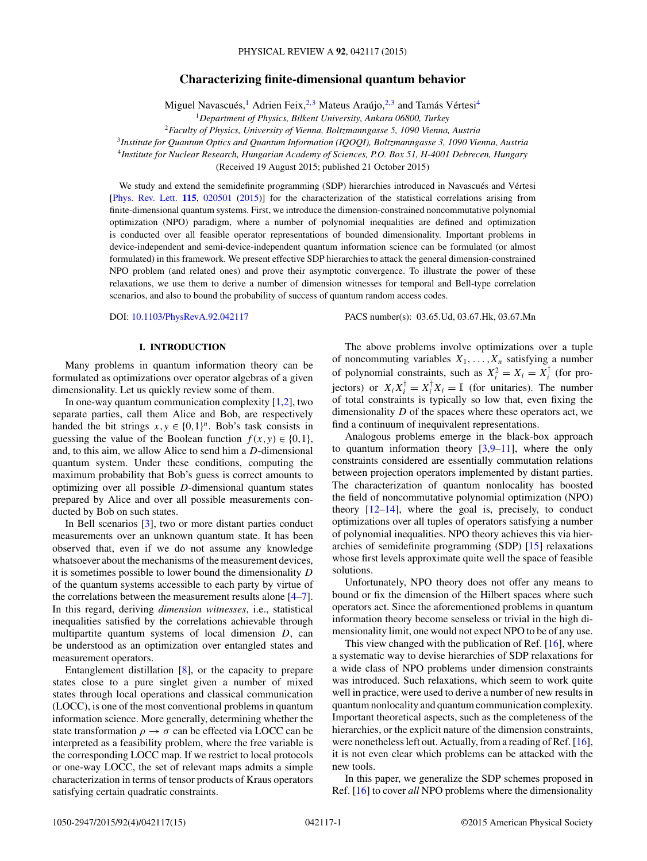# **Characterizing finite-dimensional quantum behavior**

Miguel Navascués,<sup>1</sup> Adrien Feix,<sup>2,3</sup> Mateus Araújo,<sup>2,3</sup> and Tamás Vértesi<sup>4</sup>

<sup>1</sup>*Department of Physics, Bilkent University, Ankara 06800, Turkey*

<sup>2</sup>*Faculty of Physics, University of Vienna, Boltzmanngasse 5, 1090 Vienna, Austria*

<sup>3</sup>*Institute for Quantum Optics and Quantum Information (IQOQI), Boltzmanngasse 3, 1090 Vienna, Austria*

<sup>4</sup>*Institute for Nuclear Research, Hungarian Academy of Sciences, P.O. Box 51, H-4001 Debrecen, Hungary*

(Received 19 August 2015; published 21 October 2015)

We study and extend the semidefinite programming (SDP) hierarchies introduced in Navascués and Vértesi [\[Phys. Rev. Lett.](http://dx.doi.org/10.1103/PhysRevLett.115.020501) **[115](http://dx.doi.org/10.1103/PhysRevLett.115.020501)**, [020501](http://dx.doi.org/10.1103/PhysRevLett.115.020501) [\(2015\)](http://dx.doi.org/10.1103/PhysRevLett.115.020501)] for the characterization of the statistical correlations arising from finite-dimensional quantum systems. First, we introduce the dimension-constrained noncommutative polynomial optimization (NPO) paradigm, where a number of polynomial inequalities are defined and optimization is conducted over all feasible operator representations of bounded dimensionality. Important problems in device-independent and semi-device-independent quantum information science can be formulated (or almost formulated) in this framework. We present effective SDP hierarchies to attack the general dimension-constrained NPO problem (and related ones) and prove their asymptotic convergence. To illustrate the power of these relaxations, we use them to derive a number of dimension witnesses for temporal and Bell-type correlation scenarios, and also to bound the probability of success of quantum random access codes.

DOI: [10.1103/PhysRevA.92.042117](http://dx.doi.org/10.1103/PhysRevA.92.042117) PACS number(s): 03*.*65*.*Ud*,* 03*.*67*.*Hk*,* 03*.*67*.*Mn

## **I. INTRODUCTION**

Many problems in quantum information theory can be formulated as optimizations over operator algebras of a given dimensionality. Let us quickly review some of them.

In one-way quantum communication complexity  $[1,2]$ , two separate parties, call them Alice and Bob, are respectively handed the bit strings  $x, y \in \{0,1\}^n$ . Bob's task consists in guessing the value of the Boolean function  $f(x, y) \in \{0, 1\}$ , and, to this aim, we allow Alice to send him a *D*-dimensional quantum system. Under these conditions, computing the maximum probability that Bob's guess is correct amounts to optimizing over all possible *D*-dimensional quantum states prepared by Alice and over all possible measurements conducted by Bob on such states.

In Bell scenarios [\[3\]](#page-13-0), two or more distant parties conduct measurements over an unknown quantum state. It has been observed that, even if we do not assume any knowledge whatsoever about the mechanisms of the measurement devices, it is sometimes possible to lower bound the dimensionality *D* of the quantum systems accessible to each party by virtue of the correlations between the measurement results alone [\[4–7\]](#page-13-0). In this regard, deriving *dimension witnesses*, i.e., statistical inequalities satisfied by the correlations achievable through multipartite quantum systems of local dimension *D*, can be understood as an optimization over entangled states and measurement operators.

Entanglement distillation [\[8\]](#page-13-0), or the capacity to prepare states close to a pure singlet given a number of mixed states through local operations and classical communication (LOCC), is one of the most conventional problems in quantum information science. More generally, determining whether the state transformation  $\rho \rightarrow \sigma$  can be effected via LOCC can be interpreted as a feasibility problem, where the free variable is the corresponding LOCC map. If we restrict to local protocols or one-way LOCC, the set of relevant maps admits a simple characterization in terms of tensor products of Kraus operators satisfying certain quadratic constraints.

The above problems involve optimizations over a tuple of noncommuting variables  $X_1, \ldots, X_n$  satisfying a number of polynomial constraints, such as  $X_i^2 = X_i = X_i^{\dagger}$  (for projectors) or  $X_i X_i^\top = X_i^\top X_i = \mathbb{I}$  (for unitaries). The number of total constraints is typically so low that, even fixing the dimensionality *D* of the spaces where these operators act, we find a continuum of inequivalent representations.

Analogous problems emerge in the black-box approach to quantum information theory  $[3,9-11]$ , where the only constraints considered are essentially commutation relations between projection operators implemented by distant parties. The characterization of quantum nonlocality has boosted the field of noncommutative polynomial optimization (NPO) theory  $[12-14]$ , where the goal is, precisely, to conduct optimizations over all tuples of operators satisfying a number of polynomial inequalities. NPO theory achieves this via hierarchies of semidefinite programming (SDP) [\[15\]](#page-13-0) relaxations whose first levels approximate quite well the space of feasible solutions.

Unfortunately, NPO theory does not offer any means to bound or fix the dimension of the Hilbert spaces where such operators act. Since the aforementioned problems in quantum information theory become senseless or trivial in the high dimensionality limit, one would not expect NPO to be of any use.

This view changed with the publication of Ref. [\[16\]](#page-13-0), where a systematic way to devise hierarchies of SDP relaxations for a wide class of NPO problems under dimension constraints was introduced. Such relaxations, which seem to work quite well in practice, were used to derive a number of new results in quantum nonlocality and quantum communication complexity. Important theoretical aspects, such as the completeness of the hierarchies, or the explicit nature of the dimension constraints, were nonetheless left out. Actually, from a reading of Ref. [\[16\]](#page-13-0), it is not even clear which problems can be attacked with the new tools.

In this paper, we generalize the SDP schemes proposed in Ref. [\[16\]](#page-13-0) to cover *all* NPO problems where the dimensionality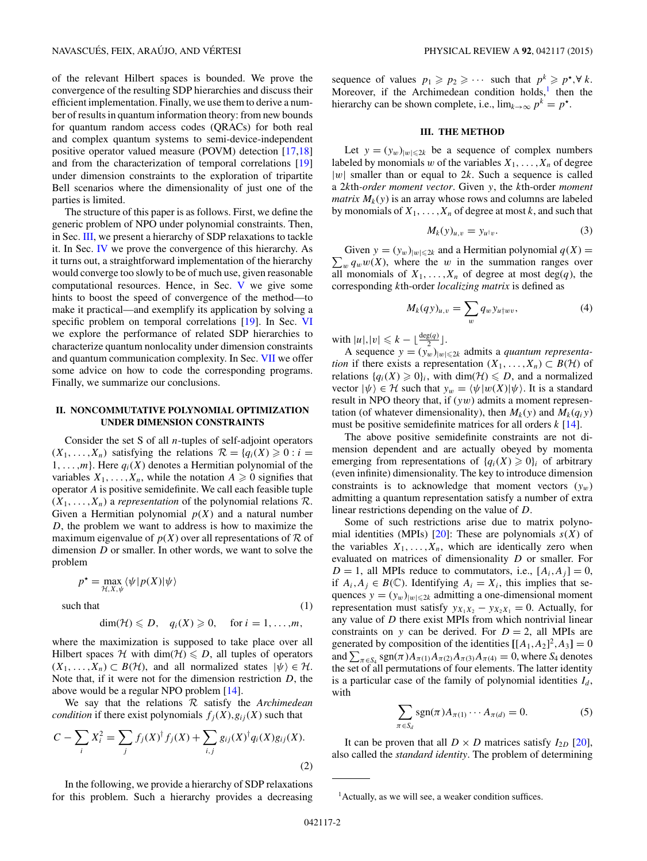<span id="page-1-0"></span>of the relevant Hilbert spaces is bounded. We prove the convergence of the resulting SDP hierarchies and discuss their efficient implementation. Finally, we use them to derive a number of results in quantum information theory: from new bounds for quantum random access codes (QRACs) for both real and complex quantum systems to semi-device-independent positive operator valued measure (POVM) detection [\[17,18\]](#page-13-0) and from the characterization of temporal correlations [\[19\]](#page-13-0) under dimension constraints to the exploration of tripartite Bell scenarios where the dimensionality of just one of the parties is limited.

The structure of this paper is as follows. First, we define the generic problem of NPO under polynomial constraints. Then, in Sec. III, we present a hierarchy of SDP relaxations to tackle it. In Sec. [IV](#page-2-0) we prove the convergence of this hierarchy. As it turns out, a straightforward implementation of the hierarchy would converge too slowly to be of much use, given reasonable computational resources. Hence, in Sec. [V](#page-4-0) we give some hints to boost the speed of convergence of the method—to make it practical—and exemplify its application by solving a specific problem on temporal correlations [\[19\]](#page-13-0). In Sec. [VI](#page-5-0) we explore the performance of related SDP hierarchies to characterize quantum nonlocality under dimension constraints and quantum communication complexity. In Sec. [VII](#page-11-0) we offer some advice on how to code the corresponding programs. Finally, we summarize our conclusions.

# **II. NONCOMMUTATIVE POLYNOMIAL OPTIMIZATION UNDER DIMENSION CONSTRAINTS**

Consider the set S of all *n*-tuples of self-adjoint operators  $(X_1, \ldots, X_n)$  satisfying the relations  $\mathcal{R} = \{q_i(X) \geq 0 : i = 1\}$  $1, \ldots, m$ . Here  $q_i(X)$  denotes a Hermitian polynomial of the variables  $X_1, \ldots, X_n$ , while the notation  $A \geq 0$  signifies that operator *A* is positive semidefinite. We call each feasible tuple  $(X_1, \ldots, X_n)$  a *representation* of the polynomial relations R. Given a Hermitian polynomial  $p(X)$  and a natural number *D*, the problem we want to address is how to maximize the maximum eigenvalue of  $p(X)$  over all representations of  $R$  of dimension *D* or smaller. In other words, we want to solve the problem

$$
p^* = \max_{\mathcal{H}, X, \psi} \langle \psi | p(X) | \psi \rangle
$$

such that  $(1)$ 

$$
\dim(\mathcal{H}) \leqslant D, \quad q_i(X) \geqslant 0, \quad \text{ for } i = 1, \ldots, m,
$$

where the maximization is supposed to take place over all Hilbert spaces  $H$  with dim( $H$ )  $\leq D$ , all tuples of operators  $(X_1, \ldots, X_n) \subset B(H)$ , and all normalized states  $|\psi\rangle \in H$ . Note that, if it were not for the dimension restriction *D*, the above would be a regular NPO problem [\[14\]](#page-13-0).

We say that the relations R satisfy the *Archimedean condition* if there exist polynomials  $f_i(X), g_{ij}(X)$  such that

$$
C - \sum_{i} X_{i}^{2} = \sum_{j} f_{j}(X)^{\dagger} f_{j}(X) + \sum_{i,j} g_{ij}(X)^{\dagger} q_{i}(X) g_{ij}(X).
$$
\n(2)

In the following, we provide a hierarchy of SDP relaxations for this problem. Such a hierarchy provides a decreasing sequence of values  $p_1 \geqslant p_2 \geqslant \cdots$  such that  $p^k \geqslant p^* , \forall k$ . Moreover, if the Archimedean condition holds,<sup>1</sup> then the hierarchy can be shown complete, i.e.,  $\lim_{k\to\infty} p^k = p^*$ .

## **III. THE METHOD**

Let  $y = (y_w)_{|w| \le 2k}$  be a sequence of complex numbers labeled by monomials *w* of the variables  $X_1, \ldots, X_n$  of degree  $|w|$  smaller than or equal to 2k. Such a sequence is called a 2*k*th*-order moment vector*. Given *y*, the *k*th-order *moment matrix*  $M_k(y)$  is an array whose rows and columns are labeled by monomials of  $X_1, \ldots, X_n$  of degree at most *k*, and such that

$$
M_k(y)_{u,v} = y_{u^{\dagger}v}.\tag{3}
$$

 $\sum_{w} q_{w} w(X)$ , where the *w* in the summation ranges over Given  $y = (y_w)_{|w| \leq 2k}$  and a Hermitian polynomial  $q(X)$  = all monomials of  $X_1, \ldots, X_n$  of degree at most deg(q), the corresponding *k*th-order *localizing matrix* is defined as

$$
M_k(qy)_{u,v} = \sum_w q_w y_{u\uparrow wv},\tag{4}
$$

with  $|u|, |v| \leq k - \lfloor \frac{\deg(q)}{2} \rfloor$ .

A sequence  $y = (y_w)_{|w| \leq 2k}$  admits a *quantum representation* if there exists a representation  $(X_1, \ldots, X_n) \subset B(H)$  of relations  $\{q_i(X) \geq 0\}_i$ , with dim( $\mathcal{H}$ )  $\leq D$ , and a normalized vector  $|\psi\rangle \in \mathcal{H}$  such that  $y_w = \langle \psi | w(X) | \psi \rangle$ . It is a standard result in NPO theory that, if (*yw*) admits a moment representation (of whatever dimensionality), then  $M_k(y)$  and  $M_k(q_i y)$ must be positive semidefinite matrices for all orders *k* [\[14\]](#page-13-0).

The above positive semidefinite constraints are not dimension dependent and are actually obeyed by momenta emerging from representations of  $\{q_i(X) \geq 0\}_i$  of arbitrary (even infinite) dimensionality. The key to introduce dimension constraints is to acknowledge that moment vectors  $(y_w)$ admitting a quantum representation satisfy a number of extra linear restrictions depending on the value of *D*.

Some of such restrictions arise due to matrix polynomial identities (MPIs)  $[20]$ : These are polynomials  $s(X)$  of the variables  $X_1, \ldots, X_n$ , which are identically zero when evaluated on matrices of dimensionality *D* or smaller. For  $D = 1$ , all MPIs reduce to commutators, i.e.,  $[A_i, A_j] = 0$ , if  $A_i, A_j \in B(\mathbb{C})$ . Identifying  $A_i = X_i$ , this implies that sequences  $y = (y_w)_{|w| \le 2k}$  admitting a one-dimensional moment representation must satisfy  $y_{X_1X_2} - y_{X_2X_1} = 0$ . Actually, for any value of *D* there exist MPIs from which nontrivial linear constraints on *y* can be derived. For  $D = 2$ , all MPIs are generated by composition of the identities  $[[A_1,A_2]^2,A_3]=0$ and  $\sum_{\pi \in S_4}$  sgn( $\pi$ ) $A_{\pi(1)}A_{\pi(2)}A_{\pi(3)}A_{\pi(4)} = 0$ , where  $S_4$  denotes the set of all permutations of four elements. The latter identity is a particular case of the family of polynomial identities  $I_d$ , with

$$
\sum_{\pi \in S_d} \text{sgn}(\pi) A_{\pi(1)} \cdots A_{\pi(d)} = 0.
$$
 (5)

It can be proven that all  $D \times D$  matrices satisfy  $I_{2D}$  [\[20\]](#page-13-0), also called the *standard identity*. The problem of determining

<sup>&</sup>lt;sup>1</sup> Actually, as we will see, a weaker condition suffices.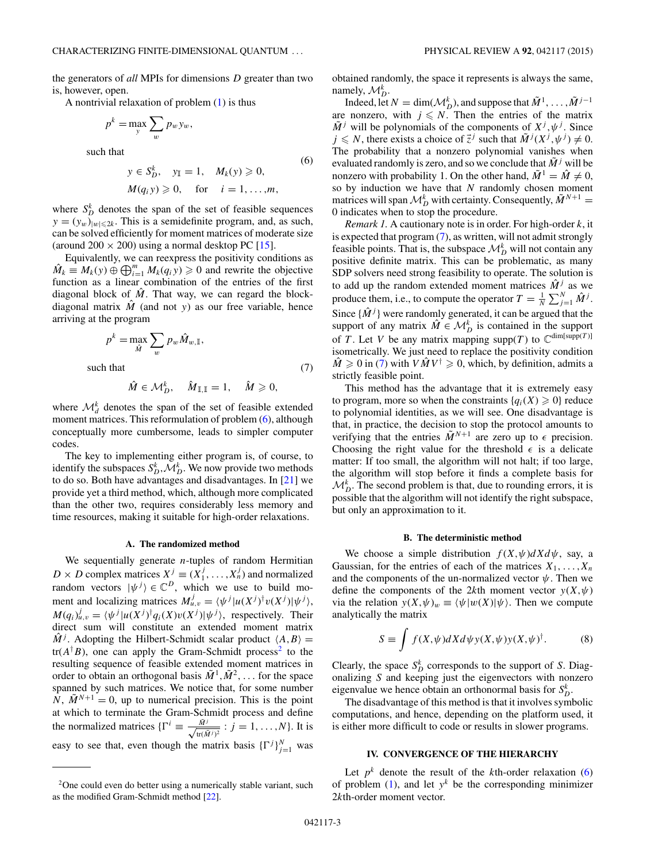<span id="page-2-0"></span>the generators of *all* MPIs for dimensions *D* greater than two is, however, open.

A nontrivial relaxation of problem [\(1\)](#page-1-0) is thus

$$
p^k = \max_{y} \sum_{w} p_w y_w,
$$

such that

$$
y \in S_D^k
$$
,  $y_{\mathbb{I}} = 1$ ,  $M_k(y) \ge 0$ ,  
\n $M(q_i y) \ge 0$ , for  $i = 1, ..., m$ , (6)

where  $S_D^k$  denotes the span of the set of feasible sequences  $y = (y_w)_{|w| \leq 2k}$ . This is a semidefinite program, and, as such, can be solved efficiently for moment matrices of moderate size (around  $200 \times 200$ ) using a normal desktop PC [\[15\]](#page-13-0).

Equivalently, we can reexpress the positivity conditions as  $\hat{M}_k \equiv M_k(y) \oplus \bigoplus_{i=1}^m M_k(q_i y) \ge 0$  and rewrite the objective function as a linear combination of the entries of the first diagonal block of *M*. That way, we can regard the blockdiagonal matrix  $\hat{M}$  (and not *y*) as our free variable, hence arriving at the program

$$
p^{k} = \max_{\hat{M}} \sum_{w} p_{w} \hat{M}_{w, \mathbb{I}},
$$
  
such that (7)

$$
\hat{M} \in \mathcal{M}_{D}^{k}, \quad \hat{M}_{\mathbb{I},\mathbb{I}} = 1, \quad \hat{M} \geqslant 0,
$$

where  $\mathcal{M}_d^k$  denotes the span of the set of feasible extended moment matrices. This reformulation of problem (6), although conceptually more cumbersome, leads to simpler computer codes.

The key to implementing either program is, of course, to identify the subspaces  $S_b^k$ ,  $\mathcal{M}_D^k$ . We now provide two methods to do so. Both have advantages and disadvantages. In [\[21\]](#page-13-0) we provide yet a third method, which, although more complicated than the other two, requires considerably less memory and time resources, making it suitable for high-order relaxations.

#### **A. The randomized method**

We sequentially generate *n*-tuples of random Hermitian *D* × *D* complex matrices  $X^j \equiv (X^j_1, \ldots, X^j_n)$  and normalized random vectors  $|\psi^j\rangle \in \mathbb{C}^D$ , which we use to build moment and localizing matrices  $M_{u,v}^j = \langle \psi^j | u(X^j)^\dagger v(X^j) | \psi^j \rangle$ ,  $M(q_i)_{u,v}^j = \langle \psi^j | u(X^j)^\dagger q_i(X) v(X^j) | \psi^j \rangle$ , respectively. Their direct sum will constitute an extended moment matrix  $\hat{M}^j$ . Adopting the Hilbert-Schmidt scalar product  $\langle A, B \rangle =$  $tr(A^{\dagger}B)$ , one can apply the Gram-Schmidt process<sup>2</sup> to the resulting sequence of feasible extended moment matrices in order to obtain an orthogonal basis  $\tilde{M}^1$ ,  $\tilde{M}^2$ , ... for the space spanned by such matrices. We notice that, for some number  $\tilde{N}$ ,  $\tilde{M}^{N+1} = 0$ , up to numerical precision. This is the point at which to terminate the Gram-Schmidt process and define the normalized matrices  $\{\Gamma^i \equiv \frac{\tilde{M}^j}{\sqrt{\text{tr}(\tilde{M}^j)^2}} : j = 1, ..., N\}$ . It is easy to see that, even though the matrix basis  $\{\Gamma^j\}_{j=1}^N$  was

obtained randomly, the space it represents is always the same, namely,  $\mathcal{M}_{D}^{k}$ .

Indeed, let  $N = \dim(\mathcal{M}_{D}^k)$ , and suppose that  $\tilde{M}^1, \ldots, \tilde{M}^{j-1}$ are nonzero, with  $j \leq N$ . Then the entries of the matrix  $\tilde{M}$ <sup>*j*</sup> will be polynomials of the components of  $X^j$ ,  $\psi^j$ . Since  $j \le N$ , there exists a choice of  $\vec{z}^j$  such that  $\tilde{M}^j(X^j, \psi^j) \ne 0$ . The probability that a nonzero polynomial vanishes when evaluated randomly is zero, and so we conclude that  $\tilde{M}^j$  will be nonzero with probability 1. On the other hand,  $\tilde{M}^1 = \hat{M} \neq 0$ , so by induction we have that *N* randomly chosen moment matrices will span  $\mathcal{M}_{D}^{k}$  with certainty. Consequently,  $\tilde{M}^{N+1}$  = 0 indicates when to stop the procedure.

*Remark 1.* A cautionary note is in order. For high-order *k*, it is expected that program (7), as written, will not admit strongly feasible points. That is, the subspace  $\mathcal{M}_{D}^{k}$  will not contain any positive definite matrix. This can be problematic, as many SDP solvers need strong feasibility to operate. The solution is to add up the random extended moment matrices  $\hat{M}$ <sup>*j*</sup> as we produce them, i.e., to compute the operator  $T = \frac{1}{N} \sum_{j=1}^{N} \hat{M}^{j}$ . Since  $\{\hat{M}^j\}$  were randomly generated, it can be argued that the support of any matrix  $\hat{M} \in \mathcal{M}_{D}^{k}$  is contained in the support of *T*. Let *V* be any matrix mapping supp(*T*) to  $\mathbb{C}^{\dim[\text{supp}(T)]}$ isometrically. We just need to replace the positivity condition  $\hat{M} \ge 0$  in (7) with  $V \hat{M} V^{\dagger} \ge 0$ , which, by definition, admits a strictly feasible point.

This method has the advantage that it is extremely easy to program, more so when the constraints  $\{q_i(X) \geq 0\}$  reduce to polynomial identities, as we will see. One disadvantage is that, in practice, the decision to stop the protocol amounts to verifying that the entries  $\tilde{M}^{N+1}$  are zero up to  $\epsilon$  precision. Choosing the right value for the threshold  $\epsilon$  is a delicate matter: If too small, the algorithm will not halt; if too large, the algorithm will stop before it finds a complete basis for  $M_D^k$ . The second problem is that, due to rounding errors, it is possible that the algorithm will not identify the right subspace, but only an approximation to it.

## **B. The deterministic method**

We choose a simple distribution  $f(X, \psi)dXd\psi$ , say, a Gaussian, for the entries of each of the matrices  $X_1, \ldots, X_n$ and the components of the un-normalized vector  $\psi$ . Then we define the components of the 2*k*th moment vector  $y(X, \psi)$ via the relation  $y(X, \psi)_w \equiv \langle \psi | w(X) | \psi \rangle$ . Then we compute analytically the matrix

$$
S \equiv \int f(X, \psi) dX d\psi y(X, \psi) y(X, \psi)^{\dagger}.
$$
 (8)

Clearly, the space  $S_b^k$  corresponds to the support of *S*. Diagonalizing *S* and keeping just the eigenvectors with nonzero eigenvalue we hence obtain an orthonormal basis for  $S_b^k$ .

The disadvantage of this method is that it involves symbolic computations, and hence, depending on the platform used, it is either more difficult to code or results in slower programs.

## **IV. CONVERGENCE OF THE HIERARCHY**

Let  $p^k$  denote the result of the *k*th-order relaxation (6) of problem  $(1)$ , and let  $y^k$  be the corresponding minimizer 2*k*th-order moment vector.

<sup>&</sup>lt;sup>2</sup>One could even do better using a numerically stable variant, such as the modified Gram-Schmidt method [\[22\]](#page-13-0).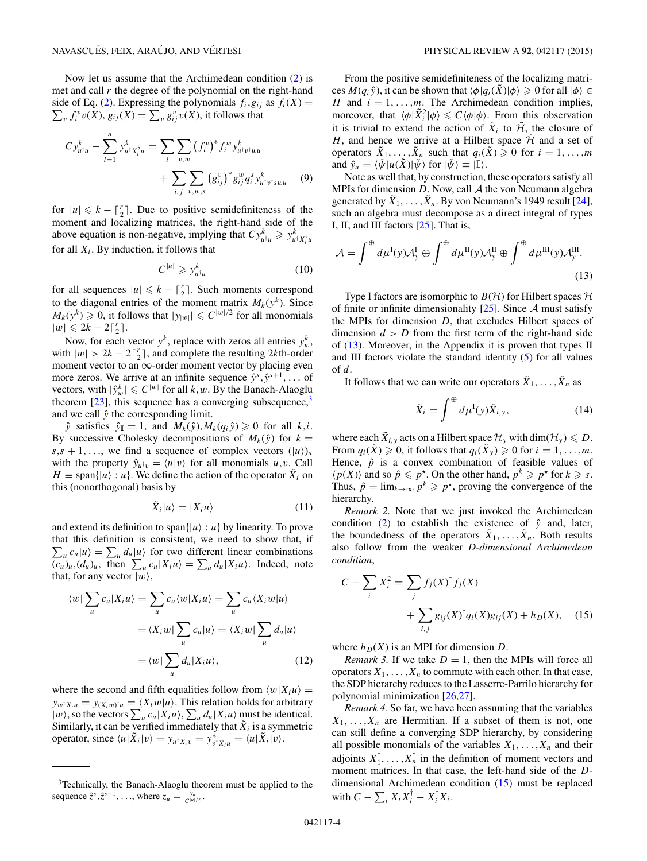Now let us assume that the Archimedean condition [\(2\)](#page-1-0) is met and call *r* the degree of the polynomial on the right-hand side of Eq. ([2\)](#page-1-0). Expressing the polynomials  $f_i, g_{ij}$  as  $f_i(X) =$  $\sum_{v} f_i^v v(X), g_{ij}(X) = \sum_{v} g_{ij}^v v(X)$ , it follows that

$$
Cy_{u^{\dagger}u}^{k} - \sum_{l=1}^{n} y_{u^{\dagger}X_{l}^{2}u}^{k} = \sum_{i} \sum_{v,w} (f_{i}^{v})^{*} f_{i}^{w} y_{u^{\dagger}v^{\dagger}wu}^{k} + \sum_{i,j} \sum_{v,w,s} (g_{ij}^{v})^{*} g_{ij}^{w} q_{i}^{s} y_{u^{\dagger}v^{\dagger}swu}^{k}
$$
(9)

for  $|u| \le k - \lceil \frac{r}{2} \rceil$ . Due to positive semidefiniteness of the moment and localizing matrices, the right-hand side of the above equation is non-negative, implying that  $Cy_{u^{\dagger}u}^{k} \geq y_{u^{\dagger}X_{l}^{2}u}^{k}$ for all  $X_l$ . By induction, it follows that

$$
C^{|u|} \geqslant y_{u^{\dagger}u}^k \tag{10}
$$

for all sequences  $|u| \leq k - \lceil \frac{r}{2} \rceil$ . Such moments correspond to the diagonal entries of the moment matrix  $M_k(y^k)$ . Since  $M_k(y^k) \geq 0$ , it follows that  $|y_{|w|} | \leq C^{|w|/2}$  for all monomials  $|w| \leq 2k - 2\lceil \frac{r}{2} \rceil$ .

Now, for each vector  $y^k$ , replace with zeros all entries  $y^k_w$ , with  $|w| > 2k - 2\lceil \frac{r}{2} \rceil$ , and complete the resulting 2*k*th-order moment vector to an  $\infty$ -order moment vector by placing even more zeros. We arrive at an infinite sequence  $\hat{y}^s, \hat{y}^{s+1}, \ldots$  of vectors, with  $|\hat{y}_w^k| \leq C^{|w|}$  for all *k*, *w*. By the Banach-Alaoglu theorem  $[23]$ , this sequence has a converging subsequence,<sup>3</sup> and we call  $\hat{y}$  the corresponding limit.

 $\hat{y}$  satisfies  $\hat{y}_{\mathbb{I}} = 1$ , and  $M_k(\hat{y}), M_k(q_i, \hat{y}) \ge 0$  for all  $k, i$ . By successive Cholesky decompositions of  $M_k(\hat{y})$  for  $k =$  $s, s + 1, \ldots$ , we find a sequence of complex vectors  $(|u\rangle)_{u}$ with the property  $\hat{y}_{u^{\dagger}v} = \langle u | v \rangle$  for all monomials *u,v*. Call  $H \equiv \text{span}\{|u\rangle : u\}$ . We define the action of the operator  $\tilde{X}_i$  on this (nonorthogonal) basis by

$$
\tilde{X}_i|u\rangle = |X_i u\rangle \tag{11}
$$

and extend its definition to span $\{ |u\rangle : u \}$  by linearity. To prove that this definition is consistent, we need to show that, if  $\sum_{u} c_u |u\rangle = \sum_{u} d_u |u\rangle$  for two different linear combinations  $(c_u)_u$ ,  $(d_u)_u$ , then  $\sum_u c_u |X_i u\rangle = \sum_u d_u |X_i u\rangle$ . Indeed, note that, for any vector  $|w\rangle$ ,

$$
\langle w | \sum_{u} c_{u} | X_{i} u \rangle = \sum_{u} c_{u} \langle w | X_{i} u \rangle = \sum_{u} c_{u} \langle X_{i} w | u \rangle
$$

$$
= \langle X_{i} w | \sum_{u} c_{u} | u \rangle = \langle X_{i} w | \sum_{u} d_{u} | u \rangle
$$

$$
= \langle w | \sum_{u} d_{u} | X_{i} u \rangle, \qquad (12)
$$

where the second and fifth equalities follow from  $\langle w|X_i u \rangle =$  $y_{w^{\dagger}X_iu} = y_{(X_iw)^{\dagger}u} = \langle X_iw|u\rangle$ . This relation holds for arbitrary  $|w\rangle$ , so the vectors  $\sum_{u} c_u |X_i u\rangle$ ,  $\sum_{u} d_u |X_i u\rangle$  must be identical. Similarly, it can be verified immediately that  $\tilde{X}_i$  is a symmetric operator, since  $\langle u | \tilde{X}_i | v \rangle = y_{u^{\dagger} X_i v} = y_{v^{\dagger} X_i u}^* = \langle u | \tilde{X}_i | v \rangle$ .

From the positive semidefiniteness of the localizing matrices  $M(q_i \hat{y})$ , it can be shown that  $\langle \phi | q_i(\tilde{X}) | \phi \rangle \ge 0$  for all  $|\phi \rangle \in$ *H* and  $i = 1, \ldots, m$ . The Archimedean condition implies, moreover, that  $\langle \phi | \tilde{X}_i^2 | \phi \rangle \leq C \langle \phi | \phi \rangle$ . From this observation it is trivial to extend the action of  $\tilde{X}_i$  to  $\tilde{\mathcal{H}}$ , the closure of *H*, and hence we arrive at a Hilbert space  $\tilde{\mathcal{H}}$  and a set of operators  $\tilde{X}_1, \ldots, \tilde{X}_n$  such that  $q_i(\tilde{X}) \geq 0$  for  $i = 1, \ldots, m$ and  $\hat{y}_u = \langle \tilde{\psi} | u(\tilde{X}) | \tilde{\psi} \rangle$  for  $| \tilde{\psi} \rangle \equiv | \mathbb{I} \rangle$ .

Note as well that, by construction, these operators satisfy all MPIs for dimension *D*. Now, call *A* the von Neumann algebra generated by  $\tilde{X}_1, \ldots, \tilde{X}_n$ . By von Neumann's 1949 result [\[24\]](#page-13-0), such an algebra must decompose as a direct integral of types I, II, and III factors [\[25\]](#page-13-0). That is,

$$
\mathcal{A} = \int^{\oplus} d\mu^{I}(y) \mathcal{A}_{y}^{I} \oplus \int^{\oplus} d\mu^{II}(y) \mathcal{A}_{y}^{II} \oplus \int^{\oplus} d\mu^{III}(y) \mathcal{A}_{y}^{III}.
$$
\n(13)

Type I factors are isomorphic to  $B(H)$  for Hilbert spaces  $H$ of finite or infinite dimensionality  $[25]$ . Since A must satisfy the MPIs for dimension *D*, that excludes Hilbert spaces of dimension  $d > D$  from the first term of the right-hand side of (13). Moreover, in the Appendix it is proven that types II and III factors violate the standard identity [\(5\)](#page-1-0) for all values of *d*.

It follows that we can write our operators  $\tilde{X}_1, \ldots, \tilde{X}_n$  as

$$
\tilde{X}_i = \int^{\oplus} d\mu^{\rm I}(y) \tilde{X}_{i,y},\tag{14}
$$

where each  $\ddot{X}_{i,y}$  acts on a Hilbert space  $\mathcal{H}_y$  with dim( $\mathcal{H}_y$ )  $\leqslant D$ . From  $q_i(\tilde{X}) \geq 0$ , it follows that  $q_i(\tilde{X}_y) \geq 0$  for  $i = 1, ..., m$ . Hence,  $\hat{p}$  is a convex combination of feasible values of  $\langle p(X) \rangle$  and so  $\hat{p} \leqslant p^*$ . On the other hand,  $p^k \geqslant p^*$  for  $k \geqslant s$ . Thus,  $\hat{p} = \lim_{k \to \infty} p^k \geq p^*$ , proving the convergence of the hierarchy.

*Remark 2.* Note that we just invoked the Archimedean condition [\(2\)](#page-1-0) to establish the existence of  $\hat{y}$  and, later, the boundedness of the operators  $\tilde{X}_1, \ldots, \tilde{X}_n$ . Both results also follow from the weaker *D-dimensional Archimedean condition*,

$$
C - \sum_{i} X_{i}^{2} = \sum_{j} f_{j}(X)^{\dagger} f_{j}(X)
$$
  
+ 
$$
\sum_{i,j} g_{ij}(X)^{\dagger} q_{i}(X) g_{ij}(X) + h_{D}(X), \quad (15)
$$

where  $h_D(X)$  is an MPI for dimension *D*.

*Remark 3.* If we take  $D = 1$ , then the MPIs will force all operators  $X_1, \ldots, X_n$  to commute with each other. In that case, the SDP hierarchy reduces to the Lasserre-Parrilo hierarchy for polynomial minimization [\[26,27\]](#page-13-0).

*Remark 4.* So far, we have been assuming that the variables  $X_1, \ldots, X_n$  are Hermitian. If a subset of them is not, one can still define a converging SDP hierarchy, by considering all possible monomials of the variables  $X_1, \ldots, X_n$  and their adjoints  $X_1^{\dagger}, \ldots, X_n^{\dagger}$  in the definition of moment vectors and moment matrices. In that case, the left-hand side of the *D*dimensional Archimedean condition (15) must be replaced with  $C - \sum_i X_i X_i^{\mathsf{T}} - X_i^{\mathsf{T}} X_i$ .

<sup>&</sup>lt;sup>3</sup>Technically, the Banach-Alaoglu theorem must be applied to the sequence  $\hat{z}^s$ ,  $\hat{z}^{s+1}$ , ..., where  $z_u = \frac{y_u}{C^{|u|/2}}$ .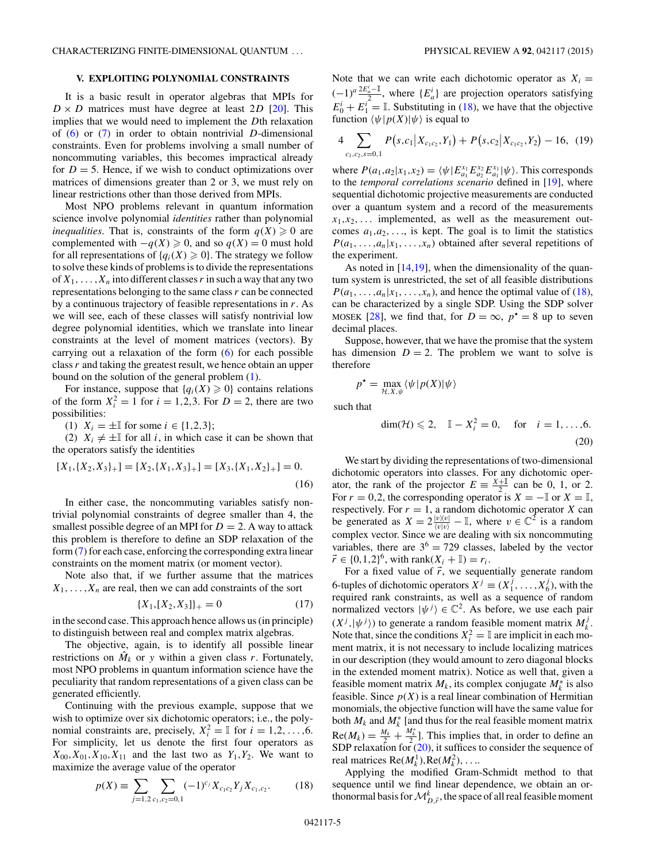## <span id="page-4-0"></span>**V. EXPLOITING POLYNOMIAL CONSTRAINTS**

It is a basic result in operator algebras that MPIs for  $D \times D$  matrices must have degree at least 2*D* [\[20\]](#page-13-0). This implies that we would need to implement the *D*th relaxation of [\(6\)](#page-2-0) or [\(7\)](#page-2-0) in order to obtain nontrivial *D*-dimensional constraints. Even for problems involving a small number of noncommuting variables, this becomes impractical already for  $D = 5$ . Hence, if we wish to conduct optimizations over matrices of dimensions greater than 2 or 3, we must rely on linear restrictions other than those derived from MPIs.

Most NPO problems relevant in quantum information science involve polynomial *identities* rather than polynomial *inequalities*. That is, constraints of the form  $q(X) \geq 0$  are complemented with  $-q(X) \geq 0$ , and so  $q(X) = 0$  must hold for all representations of  $\{q_i(X) \geq 0\}$ . The strategy we follow to solve these kinds of problems is to divide the representations of  $X_1, \ldots, X_n$  into different classes r in such a way that any two representations belonging to the same class*r* can be connected by a continuous trajectory of feasible representations in *r*. As we will see, each of these classes will satisfy nontrivial low degree polynomial identities, which we translate into linear constraints at the level of moment matrices (vectors). By carrying out a relaxation of the form [\(6\)](#page-2-0) for each possible class *r* and taking the greatest result, we hence obtain an upper bound on the solution of the general problem [\(1\)](#page-1-0).

For instance, suppose that  $\{q_i(X) \geq 0\}$  contains relations of the form  $X_i^2 = 1$  for  $i = 1, 2, 3$ . For  $D = 2$ , there are two possibilities:

(1)  $X_i = \pm \mathbb{I}$  for some  $i \in \{1,2,3\};$ 

(2)  $X_i \neq \pm \mathbb{I}$  for all *i*, in which case it can be shown that the operators satisfy the identities

$$
[X_1, \{X_2, X_3\}_+] = [X_2, \{X_1, X_3\}]_+] = [X_3, \{X_1, X_2\}]_+] = 0.
$$
\n(16)

In either case, the noncommuting variables satisfy nontrivial polynomial constraints of degree smaller than 4, the smallest possible degree of an MPI for  $D = 2$ . A way to attack this problem is therefore to define an SDP relaxation of the form [\(7\)](#page-2-0) for each case, enforcing the corresponding extra linear constraints on the moment matrix (or moment vector).

Note also that, if we further assume that the matrices  $X_1, \ldots, X_n$  are real, then we can add constraints of the sort

$$
\{X_1, [X_2, X_3]\}_+ = 0\tag{17}
$$

in the second case. This approach hence allows us (in principle) to distinguish between real and complex matrix algebras.

The objective, again, is to identify all possible linear restrictions on  $\hat{M}_k$  or *y* within a given class *r*. Fortunately, most NPO problems in quantum information science have the peculiarity that random representations of a given class can be generated efficiently.

Continuing with the previous example, suppose that we wish to optimize over six dichotomic operators; i.e., the polynomial constraints are, precisely,  $X_i^2 = \mathbb{I}$  for  $i = 1, 2, ..., 6$ . For simplicity, let us denote the first four operators as  $X_{00}$ *,* $X_{01}$ *,* $X_{10}$ *,* $X_{11}$  and the last two as  $Y_1$ *,* $Y_2$ *.* We want to maximize the average value of the operator

$$
p(X) \equiv \sum_{j=1,2} \sum_{c_1,c_2=0,1} (-1)^{c_j} X_{c_1c_2} Y_j X_{c_1,c_2}.
$$
 (18)

Note that we can write each dichotomic operator as  $X_i =$  $(-1)^a \frac{2E_a^i - \mathbb{I}}{2}$ , where  $\{E_a^i\}$  are projection operators satisfying  $E_0^i + E_1^i = \mathbb{I}$ . Substituting in (18), we have that the objective function  $\langle \psi | p(X) | \psi \rangle$  is equal to

$$
4\sum_{c_1,c_2,s=0,1} P(s,c_1|X_{c_1c_2},Y_1)+P(s,c_2|X_{c_1c_2},Y_2)-16, (19)
$$

where  $P(a_1, a_2 | x_1, x_2) = \langle \psi | E_{a_1}^{x_1} E_{a_2}^{x_2} E_{a_1}^{x_1} | \psi \rangle$ . This corresponds to the *temporal correlations scenario* defined in [\[19\]](#page-13-0), where sequential dichotomic projective measurements are conducted over a quantum system and a record of the measurements  $x_1, x_2, \ldots$  implemented, as well as the measurement outcomes  $a_1, a_2, \ldots$ , is kept. The goal is to limit the statistics  $P(a_1, \ldots, a_n | x_1, \ldots, x_n)$  obtained after several repetitions of the experiment.

As noted in  $[14,19]$ , when the dimensionality of the quantum system is unrestricted, the set of all feasible distributions  $P(a_1, \ldots, a_n | x_1, \ldots, x_n)$ , and hence the optimal value of (18), can be characterized by a single SDP. Using the SDP solver MOSEK [\[28\]](#page-13-0), we find that, for  $D = \infty$ ,  $p^* = 8$  up to seven decimal places.

Suppose, however, that we have the promise that the system has dimension  $D = 2$ . The problem we want to solve is therefore

$$
p^* = \max_{\mathcal{H}, X, \psi} \langle \psi | p(X) | \psi \rangle
$$

such that

$$
\dim(\mathcal{H}) \leq 2, \quad \mathbb{I} - X_i^2 = 0, \quad \text{for} \quad i = 1, ..., 6.
$$
\n(20)

We start by dividing the representations of two-dimensional dichotomic operators into classes. For any dichotomic operator, the rank of the projector  $E = \frac{X + I}{2}$  can be 0, 1, or 2. For  $r = 0, 2$ , the corresponding operator is  $X = -\mathbb{I}$  or  $X = \mathbb{I}$ , respectively. For  $r = 1$ , a random dichotomic operator *X* can be generated as  $X = 2 \frac{|v\rangle\langle v|}{\langle v|v\rangle} - \mathbb{I}$ , where  $v \in \mathbb{C}^2$  is a random complex vector. Since we are dealing with six noncommuting variables, there are  $3^6 = 729$  classes, labeled by the vector  $\vec{r} \in \{0, 1, 2\}^6$ , with rank $(X_i + \mathbb{I}) = r_i$ .

For a fixed value of  $\vec{r}$ , we sequentially generate random 6-tuples of dichotomic operators  $X^j \equiv (X_1^j, \ldots, X_6^j)$ , with the required rank constraints, as well as a sequence of random normalized vectors  $|\psi^j\rangle \in \mathbb{C}^2$ . As before, we use each pair  $(X^j, |\psi^j\rangle)$  to generate a random feasible moment matrix  $M^j_k$ . Note that, since the conditions  $X_i^2 = \mathbb{I}$  are implicit in each moment matrix, it is not necessary to include localizing matrices in our description (they would amount to zero diagonal blocks in the extended moment matrix). Notice as well that, given a feasible moment matrix  $M_k$ , its complex conjugate  $M_k^*$  is also feasible. Since  $p(X)$  is a real linear combination of Hermitian monomials, the objective function will have the same value for both  $M_k$  and  $M_k^*$  [and thus for the real feasible moment matrix  $\text{Re}(M_k) = \frac{M_k}{2} + \frac{M_k^*}{2}$ . This implies that, in order to define an SDP relaxation for  $(20)$ , it suffices to consider the sequence of real matrices  $\text{Re}(M_k^1), \text{Re}(M_k^2), \ldots$ 

Applying the modified Gram-Schmidt method to that sequence until we find linear dependence, we obtain an orthonormal basis for  $\mathcal{M}^k_{D,\vec{r}},$  the space of all real feasible moment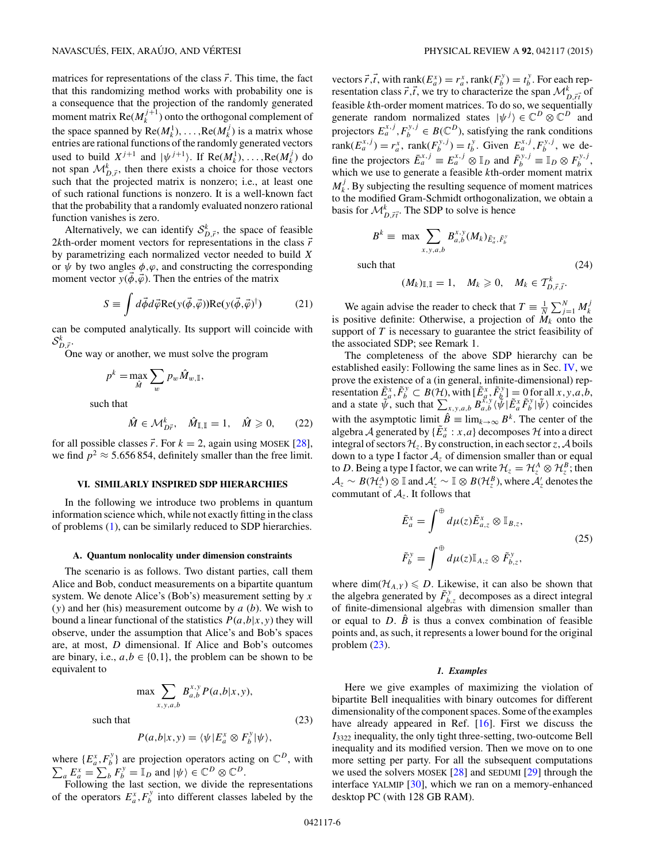<span id="page-5-0"></span>matrices for representations of the class  $\vec{r}$ . This time, the fact that this randomizing method works with probability one is a consequence that the projection of the randomly generated moment matrix  $\text{Re}(M_k^{j+1})$  onto the orthogonal complement of the space spanned by  $\text{Re}(M_k^1), \ldots, \text{Re}(M_k^j)$  is a matrix whose entries are rational functions of the randomly generated vectors used to build  $X^{j+1}$  and  $|\psi^{j+1}\rangle$ . If  $\text{Re}(M_k^1), \ldots, \text{Re}(M_k^j)$  do not span  $\mathcal{M}_{D,\vec{r}}^k$ , then there exists a choice for those vectors such that the projected matrix is nonzero; i.e., at least one of such rational functions is nonzero. It is a well-known fact that the probability that a randomly evaluated nonzero rational function vanishes is zero.

Alternatively, we can identify  $S_{D,\vec{r}}^k$ , the space of feasible 2*k*th-order moment vectors for representations in the class  $\vec{r}$ by parametrizing each normalized vector needed to build *X* or  $\psi$  by two angles  $\phi, \varphi$ , and constructing the corresponding moment vector  $y(\phi, \vec{\phi})$ . Then the entries of the matrix

$$
S \equiv \int d\vec{\phi} d\vec{\varphi} \text{Re}(y(\vec{\phi}, \vec{\varphi})) \text{Re}(y(\vec{\phi}, \vec{\varphi})^{\dagger}) \tag{21}
$$

can be computed analytically. Its support will coincide with  $\mathcal{S}_{D,\vec{\mathit{r}}}^k.$ 

One way or another, we must solve the program

$$
p^k = \max_{\hat{M}} \sum_w p_w \hat{M}_{w,\mathbb{I}},
$$

such that

$$
\hat{M} \in \mathcal{M}_{D\vec{r}}^k, \quad \hat{M}_{\mathbb{I},\mathbb{I}} = 1, \quad \hat{M} \geqslant 0, \qquad (22)
$$

for all possible classes  $\vec{r}$ . For  $k = 2$ , again using MOSEK [\[28\]](#page-13-0), we find  $p^2 \approx 5.656854$ , definitely smaller than the free limit.

## **VI. SIMILARLY INSPIRED SDP HIERARCHIES**

In the following we introduce two problems in quantum information science which, while not exactly fitting in the class of problems [\(1\)](#page-1-0), can be similarly reduced to SDP hierarchies.

#### **A. Quantum nonlocality under dimension constraints**

The scenario is as follows. Two distant parties, call them Alice and Bob, conduct measurements on a bipartite quantum system. We denote Alice's (Bob's) measurement setting by *x* (*y*) and her (his) measurement outcome by *a* (*b*). We wish to bound a linear functional of the statistics  $P(a,b|x,y)$  they will observe, under the assumption that Alice's and Bob's spaces are, at most, *D* dimensional. If Alice and Bob's outcomes are binary, i.e.,  $a, b \in \{0, 1\}$ , the problem can be shown to be equivalent to

> max  $\sum$ *x,y,a,b*  $B^{x,y}_{a,b}P(a,b|x,y),$ such that  $(23)$

$$
P(a,b|x,y) = \langle \psi | E_a^x \otimes F_b^y | \psi \rangle,
$$

where  $\{E_a^x, F_b^y\}$  are projection operators acting on  $\mathbb{C}^D$ , with  $\sum_{a} E_{a}^{x} = \sum_{b}^{y} F_{b}^{y} = \mathbb{I}_{D}$  and  $|\psi\rangle \in \mathbb{C}^{D} \otimes \mathbb{C}^{D}$ .

Following the last section, we divide the representations of the operators  $E_a^x$ ,  $F_b^y$  into different classes labeled by the vectors  $\vec{r}$ ,  $\vec{t}$ , with rank( $E_a^x$ ) =  $r_a^x$ , rank( $F_b^y$ ) =  $t_b^y$ . For each representation class  $\vec{r}$ ,  $\vec{t}$ , we try to characterize the span  $\mathcal{M}_{D,\vec{r}\vec{t}}^k$  of feasible *k*th-order moment matrices. To do so, we sequentially generate random normalized states  $|\psi^j\rangle \in \mathbb{C}^D \otimes \mathbb{C}^D$  and projectors  $E_a^{x,j}, F_b^{y,j} \in B(\mathbb{C}^D)$ , satisfying the rank conditions rank $(E_a^{x,j}) = r_a^x$ , rank $(F_b^{y,j}) = t_b^y$ . Given  $E_a^{x,j}, F_b^{y,j}$ , we define the projectors  $\bar{E}_a^{x,j} \equiv E_a^{x,j} \otimes \mathbb{I}_D$  and  $\bar{F}_b^{y,j} \equiv \mathbb{I}_D \otimes F_b^{y,j}$ , which we use to generate a feasible *k*th-order moment matrix  $M_k^j$ . By subjecting the resulting sequence of moment matrices to the modified Gram-Schmidt orthogonalization, we obtain a basis for  $\mathcal{M}_{D,\vec{r}\vec{t}}^k$ . The SDP to solve is hence

$$
B^{k} \equiv \max \sum_{x,y,a,b} B^{x,y}_{a,b}(M_{k})_{\tilde{E}^{x}_{a},\tilde{F}^{y}_{b}}
$$
  
such that (24)

$$
(M_k)_{\mathbb{I},\mathbb{I}}=1, \quad M_k\geqslant 0, \quad M_k\in \mathcal{T}^k_{D,\vec{r},\vec{t}}.
$$

We again advise the reader to check that  $T \equiv \frac{1}{N} \sum_{j=1}^{N} M_k^j$ is positive definite: Otherwise, a projection of  $\dot{M}_k$  onto the support of *T* is necessary to guarantee the strict feasibility of the associated SDP; see Remark 1.

The completeness of the above SDP hierarchy can be established easily: Following the same lines as in Sec. [IV,](#page-2-0) we prove the existence of a (in general, infinite-dimensional) representation  $\tilde{E}_a^x$ ,  $\tilde{F}_b^y \subset B(H)$ , with  $[\tilde{E}_a^x$ ,  $\tilde{F}_b^y] = 0$  for all *x*, *y*, *a*, *b*, and a state  $\psi$ , such that  $\sum_{x,y,a,b}^{\infty} B_{a,b}^{x,y} \left\langle \psi | \tilde{E}_a^x \tilde{F}_b^y | \psi \right\rangle$  coincides with the asymptotic limit  $\hat{B} \equiv \lim_{k \to \infty} B^k$ . The center of the algebra A generated by  $\{\tilde{E}_a^x : x, a\}$  decomposes  $\mathcal H$  into a direct integral of sectors  $\mathcal{H}_z$ . By construction, in each sector *z*, *A* boils down to a type I factor  $A_z$  of dimension smaller than or equal to *D*. Being a type I factor, we can write  $\mathcal{H}_z = \mathcal{H}_z^A \otimes \mathcal{H}_z^B$ ; then  $\mathcal{A}_z \sim B(\mathcal{H}_z^A) \otimes \mathbb{I}$  and  $\mathcal{A}_z' \sim \mathbb{I} \otimes B(\mathcal{H}_z^B)$ , where  $\mathcal{A}_z'$  denotes the commutant of  $A_z$ . It follows that

$$
\tilde{E}_a^x = \int_{0}^{\oplus} d\mu(z) \tilde{E}_{a,z}^x \otimes \mathbb{I}_{B,z},
$$
\n
$$
\tilde{F}_b^y = \int_{0}^{\oplus} d\mu(z) \mathbb{I}_{A,z} \otimes \tilde{F}_{b,z}^y,
$$
\n(25)

where dim( $\mathcal{H}_{A,Y}$ )  $\leqslant$  *D*. Likewise, it can also be shown that the algebra generated by  $\tilde{F}_{b,z}^y$  decomposes as a direct integral of finite-dimensional algebras with dimension smaller than or equal to *D*.  $\hat{B}$  is thus a convex combination of feasible points and, as such, it represents a lower bound for the original problem (23).

#### *1. Examples*

Here we give examples of maximizing the violation of bipartite Bell inequalities with binary outcomes for different dimensionality of the component spaces. Some of the examples have already appeared in Ref. [\[16\]](#page-13-0). First we discuss the *I*<sup>3322</sup> inequality, the only tight three-setting, two-outcome Bell inequality and its modified version. Then we move on to one more setting per party. For all the subsequent computations we used the solvers MOSEK [\[28\]](#page-13-0) and SEDUMI [\[29\]](#page-13-0) through the interface YALMIP [\[30\]](#page-13-0), which we ran on a memory-enhanced desktop PC (with 128 GB RAM).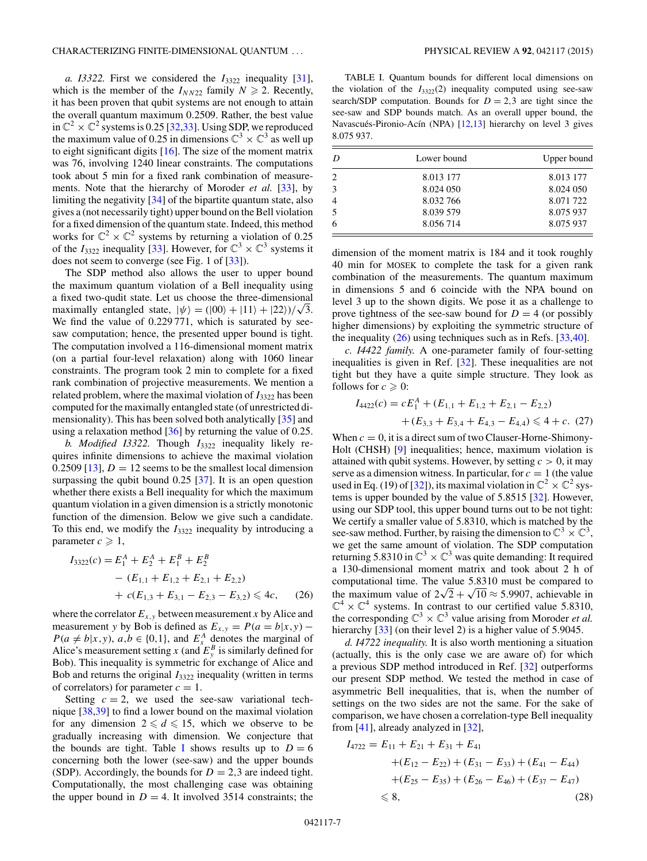<span id="page-6-0"></span>*a. 13322.* First we considered the  $I_{3322}$  inequality [\[31\]](#page-13-0), which is the member of the  $I_{NN22}$  family  $N \ge 2$ . Recently, it has been proven that qubit systems are not enough to attain the overall quantum maximum 0*.*2509. Rather, the best value in  $\mathbb{C}^2 \times \mathbb{C}^2$  systems is 0.25 [\[32,33\]](#page-13-0). Using SDP, we reproduced the maximum value of 0.25 in dimensions  $\mathbb{C}^3 \times \mathbb{C}^3$  as well up to eight significant digits [\[16\]](#page-13-0). The size of the moment matrix was 76, involving 1240 linear constraints. The computations took about 5 min for a fixed rank combination of measurements. Note that the hierarchy of Moroder *et al.* [\[33\]](#page-13-0), by limiting the negativity [\[34\]](#page-13-0) of the bipartite quantum state, also gives a (not necessarily tight) upper bound on the Bell violation for a fixed dimension of the quantum state. Indeed, this method works for  $\mathbb{C}^2 \times \mathbb{C}^2$  systems by returning a violation of 0.25 of the  $I_{3322}$  inequality [\[33\]](#page-13-0). However, for  $\mathbb{C}^3 \times \mathbb{C}^3$  systems it does not seem to converge (see Fig. 1 of [\[33\]](#page-13-0)).

The SDP method also allows the user to upper bound the maximum quantum violation of a Bell inequality using a fixed two-qudit state. Let us choose the three-dimensional a fixed two-qudit state. Let us choose the three-dimensional maximally entangled state,  $|\psi\rangle = (|00\rangle + |11\rangle + |22\rangle)/\sqrt{3}$ . We find the value of 0*.*229 771, which is saturated by seesaw computation; hence, the presented upper bound is tight. The computation involved a 116-dimensional moment matrix (on a partial four-level relaxation) along with 1060 linear constraints. The program took 2 min to complete for a fixed rank combination of projective measurements. We mention a related problem, where the maximal violation of  $I_{3322}$  has been computed for the maximally entangled state (of unrestricted dimensionality). This has been solved both analytically [\[35\]](#page-13-0) and using a relaxation method  $[36]$  by returning the value of 0.25.

*b. Modified I3322.* Though *I*<sup>3322</sup> inequality likely requires infinite dimensions to achieve the maximal violation 0.2509 [\[13\]](#page-13-0),  $D = 12$  seems to be the smallest local dimension surpassing the qubit bound 0.25 [\[37\]](#page-13-0). It is an open question whether there exists a Bell inequality for which the maximum quantum violation in a given dimension is a strictly monotonic function of the dimension. Below we give such a candidate. To this end, we modify the  $I_{3322}$  inequality by introducing a parameter  $c \geqslant 1$ ,

$$
I_{3322}(c) = E_1^A + E_2^A + E_1^B + E_2^B
$$
  
–  $(E_{1,1} + E_{1,2} + E_{2,1} + E_{2,2})$   
+  $c(E_{1,3} + E_{3,1} - E_{2,3} - E_{3,2}) \le 4c,$  (26)

where the correlator  $E_{x,y}$  between measurement *x* by Alice and measurement *y* by Bob is defined as  $E_{x,y} = P(a = b|x, y)$  –  $P(a \neq b | x, y)$ ,  $a, b \in \{0, 1\}$ , and  $E_x^A$  denotes the marginal of Alice's measurement setting *x* (and  $E_y^B$  is similarly defined for Bob). This inequality is symmetric for exchange of Alice and Bob and returns the original *I*<sup>3322</sup> inequality (written in terms of correlators) for parameter  $c = 1$ .

Setting  $c = 2$ , we used the see-saw variational technique [\[38,39\]](#page-14-0) to find a lower bound on the maximal violation for any dimension  $2 \le d \le 15$ , which we observe to be gradually increasing with dimension. We conjecture that the bounds are tight. Table I shows results up to  $D = 6$ concerning both the lower (see-saw) and the upper bounds (SDP). Accordingly, the bounds for  $D = 2,3$  are indeed tight. Computationally, the most challenging case was obtaining the upper bound in  $D = 4$ . It involved 3514 constraints; the

TABLE I. Quantum bounds for different local dimensions on the violation of the  $I_{3322}(2)$  inequality computed using see-saw search/SDP computation. Bounds for  $D = 2,3$  are tight since the see-saw and SDP bounds match. As an overall upper bound, the Navascués-Pironio-Acín (NPA) [\[12,13\]](#page-13-0) hierarchy on level 3 gives 8.075 937.

| D              | Lower bound | Upper bound |
|----------------|-------------|-------------|
| $\overline{2}$ | 8.013 177   | 8.013 177   |
| 3              | 8.024 050   | 8.024 050   |
| $\overline{4}$ | 8.032 766   | 8.071 722   |
| 5              | 8.039 579   | 8.075 937   |
| 6              | 8.056 714   | 8.075 937   |

dimension of the moment matrix is 184 and it took roughly 40 min for MOSEK to complete the task for a given rank combination of the measurements. The quantum maximum in dimensions 5 and 6 coincide with the NPA bound on level 3 up to the shown digits. We pose it as a challenge to prove tightness of the see-saw bound for  $D = 4$  (or possibly higher dimensions) by exploiting the symmetric structure of the inequality  $(26)$  using techniques such as in Refs. [\[33](#page-13-0)[,40\]](#page-14-0).

*c. I4422 family.* A one-parameter family of four-setting inequalities is given in Ref. [\[32\]](#page-13-0). These inequalities are not tight but they have a quite simple structure. They look as follows for  $c \geqslant 0$ :

$$
I_{4422}(c) = cE_1^A + (E_{1,1} + E_{1,2} + E_{2,1} - E_{2,2})
$$
  
+  $(E_{3,3} + E_{3,4} + E_{4,3} - E_{4,4}) \le 4 + c.$  (27)

When  $c = 0$ , it is a direct sum of two Clauser-Horne-Shimony-Holt (CHSH) [\[9\]](#page-13-0) inequalities; hence, maximum violation is attained with qubit systems. However, by setting *c >* 0, it may serve as a dimension witness. In particular, for  $c = 1$  (the value used in Eq. (19) of [\[32\]](#page-13-0)), its maximal violation in  $\mathbb{C}^2 \times \mathbb{C}^2$  systems is upper bounded by the value of 5.8515 [\[32\]](#page-13-0). However, using our SDP tool, this upper bound turns out to be not tight: We certify a smaller value of 5.8310, which is matched by the see-saw method. Further, by raising the dimension to  $\mathbb{C}^3 \times \mathbb{C}^3$ , we get the same amount of violation. The SDP computation returning 5.8310 in  $\mathbb{C}^3 \times \mathbb{C}^3$  was quite demanding: It required a 130-dimensional moment matrix and took about 2 h of computational time. The value 5.8310 must be compared to the maximum value of  $2\sqrt{2} + \sqrt{10} \approx 5.9907$ , achievable in  $\mathbb{C}^4 \times \mathbb{C}^4$  systems. In contrast to our certified value 5.8310, the corresponding  $\mathbb{C}^3 \times \mathbb{C}^3$  value arising from Moroder *et al.* hierarchy [\[33\]](#page-13-0) (on their level 2) is a higher value of 5.9045.

*d. I4722 inequality.* It is also worth mentioning a situation (actually, this is the only case we are aware of) for which a previous SDP method introduced in Ref. [\[32\]](#page-13-0) outperforms our present SDP method. We tested the method in case of asymmetric Bell inequalities, that is, when the number of settings on the two sides are not the same. For the sake of comparison, we have chosen a correlation-type Bell inequality from [\[41\]](#page-14-0), already analyzed in [\[32\]](#page-13-0),

$$
I_{4722} = E_{11} + E_{21} + E_{31} + E_{41}
$$
  
+
$$
(E_{12} - E_{22}) + (E_{31} - E_{33}) + (E_{41} - E_{44})
$$
  
+
$$
(E_{25} - E_{35}) + (E_{26} - E_{46}) + (E_{37} - E_{47})
$$
  

$$
\leq 8,
$$
 (28)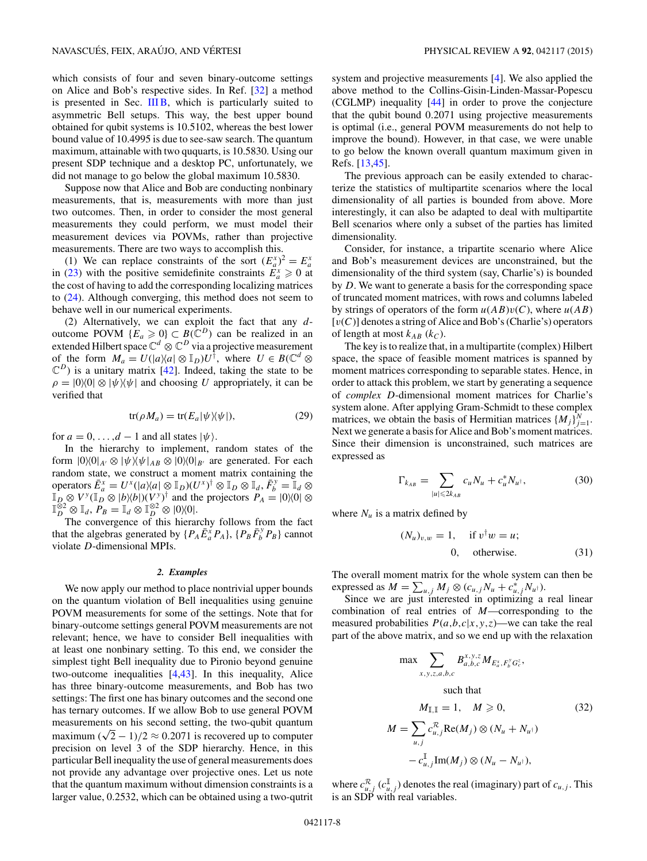which consists of four and seven binary-outcome settings on Alice and Bob's respective sides. In Ref. [\[32\]](#page-13-0) a method is presented in Sec. [III B,](#page-2-0) which is particularly suited to asymmetric Bell setups. This way, the best upper bound obtained for qubit systems is 10.5102, whereas the best lower bound value of 10.4995 is due to see-saw search. The quantum maximum, attainable with two ququarts, is 10.5830. Using our present SDP technique and a desktop PC, unfortunately, we did not manage to go below the global maximum 10.5830.

Suppose now that Alice and Bob are conducting nonbinary measurements, that is, measurements with more than just two outcomes. Then, in order to consider the most general measurements they could perform, we must model their measurement devices via POVMs, rather than projective measurements. There are two ways to accomplish this.

(1) We can replace constraints of the sort  $(E_a^x)^2 = E_a^x$ in [\(23\)](#page-5-0) with the positive semidefinite constraints  $\vec{E}_a^x \ge 0$  at the cost of having to add the corresponding localizing matrices to [\(24\)](#page-5-0). Although converging, this method does not seem to behave well in our numerical experiments.

(2) Alternatively, we can exploit the fact that any *d*outcome POVM  $\{E_a \geq 0\} \subset B(\mathbb{C}^D)$  can be realized in an extended Hilbert space  $\mathbb{C}^d \otimes \mathbb{C}^D$  via a projective measurement of the form  $M_a = U(|a\rangle\langle a| \otimes \mathbb{I}_D)U^{\dagger}$ , where  $U \in B(\mathbb{C}^d \otimes$  $\mathbb{C}^D$ ) is a unitary matrix [\[42\]](#page-14-0). Indeed, taking the state to be  $\rho = |0\rangle\langle 0| \otimes |\psi\rangle\langle \psi|$  and choosing *U* appropriately, it can be verified that

$$
tr(\rho M_a) = tr(E_a|\psi\rangle\langle\psi|), \qquad (29)
$$

for  $a = 0, \ldots, d - 1$  and all states  $|\psi\rangle$ .

In the hierarchy to implement, random states of the form  $|0\rangle\langle 0|_{A'} \otimes |\psi\rangle\langle \psi|_{AB} \otimes |0\rangle\langle 0|_{B'}$  are generated. For each random state, we construct a moment matrix containing the operators  $\bar{E}^x_a = U^x(|a\rangle\langle a| \otimes \mathbb{I}_D)(U^x)^\dagger \otimes \mathbb{I}_D \otimes \mathbb{I}_d, \bar{F}^y_b = \mathbb{I}_d \otimes$  $\mathbb{I}_D \otimes V^{\mathcal{Y}}(\mathbb{I}_D \otimes |b\rangle\langle b|)(V^{\mathcal{Y}})^{\dagger}$  and the projectors  $P_A = |0\rangle\langle 0| \otimes$  $\mathbb{I}_{D}^{\bar{\otimes}2}\otimes\mathbb{I}_{d}, P_{B}=\mathbb{I}_{d}\otimes\mathbb{I}_{D}^{\otimes2}\otimes|0\rangle\langle0|.$ 

The convergence of this hierarchy follows from the fact that the algebras generated by  $\{P_A \overline{E}_a^x P_A\}$ ,  $\{P_B \overline{F}_b^y P_B\}$  cannot violate *D*-dimensional MPIs.

## *2. Examples*

We now apply our method to place nontrivial upper bounds on the quantum violation of Bell inequalities using genuine POVM measurements for some of the settings. Note that for binary-outcome settings general POVM measurements are not relevant; hence, we have to consider Bell inequalities with at least one nonbinary setting. To this end, we consider the simplest tight Bell inequality due to Pironio beyond genuine two-outcome inequalities [\[4,](#page-13-0)[43\]](#page-14-0). In this inequality, Alice has three binary-outcome measurements, and Bob has two settings: The first one has binary outcomes and the second one has ternary outcomes. If we allow Bob to use general POVM measurements on his second setting, the two-qubit quantum maximum  $(\sqrt{2} - 1)/2 \approx 0.2071$  is recovered up to computer precision on level 3 of the SDP hierarchy. Hence, in this particular Bell inequality the use of general measurements does not provide any advantage over projective ones. Let us note that the quantum maximum without dimension constraints is a larger value, 0.2532, which can be obtained using a two-qutrit

system and projective measurements [\[4\]](#page-13-0). We also applied the above method to the Collins-Gisin-Linden-Massar-Popescu (CGLMP) inequality [\[44\]](#page-14-0) in order to prove the conjecture that the qubit bound 0*.*2071 using projective measurements is optimal (i.e., general POVM measurements do not help to improve the bound). However, in that case, we were unable to go below the known overall quantum maximum given in Refs. [\[13](#page-13-0)[,45\]](#page-14-0).

The previous approach can be easily extended to characterize the statistics of multipartite scenarios where the local dimensionality of all parties is bounded from above. More interestingly, it can also be adapted to deal with multipartite Bell scenarios where only a subset of the parties has limited dimensionality.

Consider, for instance, a tripartite scenario where Alice and Bob's measurement devices are unconstrained, but the dimensionality of the third system (say, Charlie's) is bounded by *D*. We want to generate a basis for the corresponding space of truncated moment matrices, with rows and columns labeled by strings of operators of the form  $u(AB)v(C)$ , where  $u(AB)$ [*v*(*C*)] denotes a string of Alice and Bob's (Charlie's) operators of length at most  $k_{AB}$  ( $k_C$ ).

The key is to realize that, in a multipartite (complex) Hilbert space, the space of feasible moment matrices is spanned by moment matrices corresponding to separable states. Hence, in order to attack this problem, we start by generating a sequence of *complex D*-dimensional moment matrices for Charlie's system alone. After applying Gram-Schmidt to these complex matrices, we obtain the basis of Hermitian matrices  $\{M_j\}_{j=1}^N$ . Next we generate a basis for Alice and Bob's moment matrices. Since their dimension is unconstrained, such matrices are expressed as

$$
\Gamma_{k_{AB}} = \sum_{|u| \le 2k_{AB}} c_u N_u + c_u^* N_{u^{\dagger}}, \tag{30}
$$

where  $N_u$  is a matrix defined by

$$
(N_u)_{v,w} = 1, \quad \text{if } v^{\dagger}w = u;
$$
  
0, otherwise. (31)

The overall moment matrix for the whole system can then be expressed as  $M = \sum_{u,j} M_j \otimes (c_{u,j}N_u + c_{u,j}^*N_{u^{\dagger}}).$ 

Since we are just interested in optimizing a real linear combination of real entries of *M*—corresponding to the measured probabilities  $P(a,b,c|x,y,z)$ —we can take the real part of the above matrix, and so we end up with the relaxation

$$
\max \sum_{x,y,z,a,b,c} B_{a,b,c}^{x,y,z} M_{E_a^x, F_b^y G_c^z},
$$
  
such that  

$$
M_{\mathbb{I},\mathbb{I}} = 1, \quad M \ge 0,
$$

$$
M = \sum_{u,j} c_{u,j}^{\mathcal{R}} \text{Re}(M_j) \otimes (N_u + N_{u^{\dagger}})
$$
(32)

 $-c_{u,j}^{\mathbb{I}}Im(M_j) \otimes (N_u - N_{u^{\dagger}}),$ 

where  $c_{u,j}^{\mathcal{R}}$  ( $c_{u,j}^{\mathbb{I}}$ ) denotes the real (imaginary) part of  $c_{u,j}$ . This is an SDP with real variables.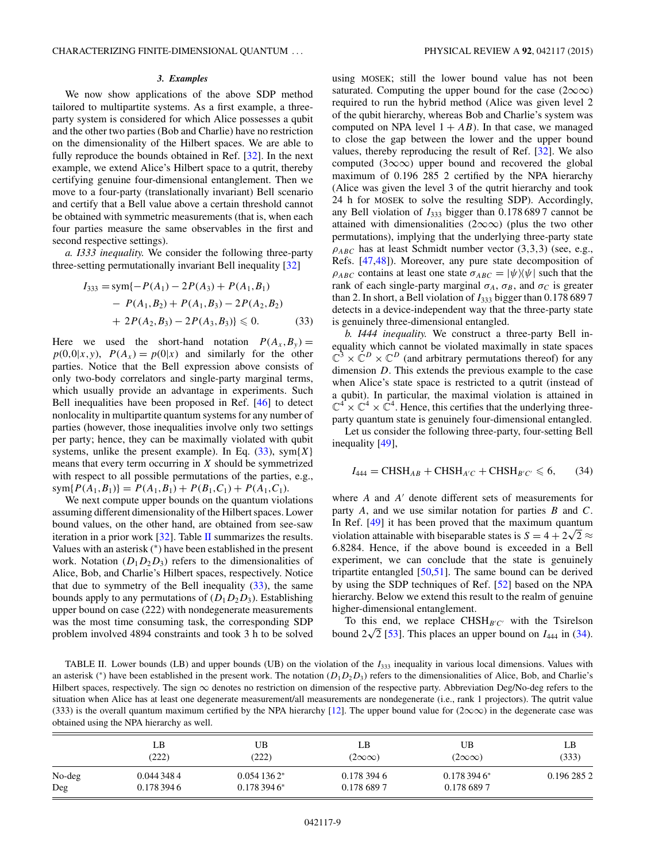## *3. Examples*

<span id="page-8-0"></span>We now show applications of the above SDP method tailored to multipartite systems. As a first example, a threeparty system is considered for which Alice possesses a qubit and the other two parties (Bob and Charlie) have no restriction on the dimensionality of the Hilbert spaces. We are able to fully reproduce the bounds obtained in Ref. [\[32\]](#page-13-0). In the next example, we extend Alice's Hilbert space to a qutrit, thereby certifying genuine four-dimensional entanglement. Then we move to a four-party (translationally invariant) Bell scenario and certify that a Bell value above a certain threshold cannot be obtained with symmetric measurements (that is, when each four parties measure the same observables in the first and second respective settings).

*a. I333 inequality.* We consider the following three-party three-setting permutationally invariant Bell inequality [\[32\]](#page-13-0)

$$
I_{333} = \text{sym}\{-P(A_1) - 2P(A_3) + P(A_1, B_1) - P(A_1, B_2) + P(A_1, B_3) - 2P(A_2, B_2) + 2P(A_2, B_3) - 2P(A_3, B_3)\} \leq 0.
$$
 (33)

Here we used the short-hand notation  $P(A_x, B_y) =$  $p(0,0|x,y)$ ,  $P(A_x) = p(0|x)$  and similarly for the other parties. Notice that the Bell expression above consists of only two-body correlators and single-party marginal terms, which usually provide an advantage in experiments. Such Bell inequalities have been proposed in Ref. [\[46\]](#page-14-0) to detect nonlocality in multipartite quantum systems for any number of parties (however, those inequalities involve only two settings per party; hence, they can be maximally violated with qubit systems, unlike the present example). In Eq.  $(33)$ , sym $\{X\}$ means that every term occurring in *X* should be symmetrized with respect to all possible permutations of the parties, e.g.,  $sym{P(A_1, B_1)} = P(A_1, B_1) + P(B_1, C_1) + P(A_1, C_1).$ 

We next compute upper bounds on the quantum violations assuming different dimensionality of the Hilbert spaces. Lower bound values, on the other hand, are obtained from see-saw iteration in a prior work  $[32]$ . Table II summarizes the results. Values with an asterisk (<sup>∗</sup>) have been established in the present work. Notation  $(D_1D_2D_3)$  refers to the dimensionalities of Alice, Bob, and Charlie's Hilbert spaces, respectively. Notice that due to symmetry of the Bell inequality  $(33)$ , the same bounds apply to any permutations of  $(D_1D_2D_3)$ . Establishing upper bound on case (222) with nondegenerate measurements was the most time consuming task, the corresponding SDP problem involved 4894 constraints and took 3 h to be solved using MOSEK; still the lower bound value has not been saturated. Computing the upper bound for the case (2 $\infty\infty$ ) required to run the hybrid method (Alice was given level 2 of the qubit hierarchy, whereas Bob and Charlie's system was computed on NPA level  $1 + AB$ ). In that case, we managed to close the gap between the lower and the upper bound values, thereby reproducing the result of Ref. [\[32\]](#page-13-0). We also computed (3 $\infty$ ) upper bound and recovered the global maximum of 0.196 285 2 certified by the NPA hierarchy (Alice was given the level 3 of the qutrit hierarchy and took 24 h for MOSEK to solve the resulting SDP). Accordingly, any Bell violation of *I*<sup>333</sup> bigger than 0*.*178 689 7 cannot be attained with dimensionalities (2∞∞) (plus the two other permutations), implying that the underlying three-party state  $\rho_{ABC}$  has at least Schmidt number vector (3,3,3) (see, e.g., Refs. [\[47,48\]](#page-14-0)). Moreover, any pure state decomposition of *ρ<sub>ABC</sub>* contains at least one state  $\sigma_{ABC} = |\psi \rangle \langle \psi |$  such that the rank of each single-party marginal  $\sigma_A$ ,  $\sigma_B$ , and  $\sigma_C$  is greater than 2. In short, a Bell violation of *I*<sup>333</sup> bigger than 0*.*178 689 7 detects in a device-independent way that the three-party state is genuinely three-dimensional entangled.

*b. I444 inequality.* We construct a three-party Bell inequality which cannot be violated maximally in state spaces  $\mathbb{C}^3 \times \mathbb{C}^D \times \mathbb{C}^D$  (and arbitrary permutations thereof) for any dimension *D*. This extends the previous example to the case when Alice's state space is restricted to a qutrit (instead of a qubit). In particular, the maximal violation is attained in  $\mathbb{C}^4 \times \mathbb{C}^4 \times \mathbb{C}^4$ . Hence, this certifies that the underlying threeparty quantum state is genuinely four-dimensional entangled.

Let us consider the following three-party, four-setting Bell inequality [\[49\]](#page-14-0),

$$
I_{444} = \text{CHSH}_{AB} + \text{CHSH}_{A'C} + \text{CHSH}_{B'C'} \leq 6, \qquad (34)
$$

where *A* and *A'* denote different sets of measurements for party *A*, and we use similar notation for parties *B* and *C*. In Ref. [\[49\]](#page-14-0) it has been proved that the maximum quantum In Ref. [49] it has been proved that the maximum quantum<br>violation attainable with biseparable states is  $S = 4 + 2\sqrt{2} \approx$ 6*.*8284. Hence, if the above bound is exceeded in a Bell experiment, we can conclude that the state is genuinely tripartite entangled [\[50,51\]](#page-14-0). The same bound can be derived by using the SDP techniques of Ref. [\[52\]](#page-14-0) based on the NPA hierarchy. Below we extend this result to the realm of genuine higher-dimensional entanglement.

To this end, we replace  $CHSH_{B'C'}$  with the Tsirelson bound  $2\sqrt{2}$  [\[53\]](#page-14-0). This places an upper bound on  $I_{444}$  in (34).

TABLE II. Lower bounds (LB) and upper bounds (UB) on the violation of the *I*<sup>333</sup> inequality in various local dimensions. Values with an asterisk (\*) have been established in the present work. The notation  $(D_1 D_2 D_3)$  refers to the dimensionalities of Alice, Bob, and Charlie's Hilbert spaces, respectively. The sign  $\infty$  denotes no restriction on dimension of the respective party. Abbreviation Deg/No-deg refers to the situation when Alice has at least one degenerate measurement/all measurements are nondegenerate (i.e., rank 1 projectors). The qutrit value (333) is the overall quantum maximum certified by the NPA hierarchy [\[12\]](#page-13-0). The upper bound value for (2 $\infty\infty$ ) in the degenerate case was obtained using the NPA hierarchy as well.

|        | LB          | UB           | LВ                | UB                | LB          |
|--------|-------------|--------------|-------------------|-------------------|-------------|
|        | (222)       | (222)        | $(2\infty\infty)$ | $(2\infty\infty)$ | (333)       |
| No-deg | 0.044 348 4 | $0.0541362*$ | 0.178 394 6       | $0.1783946*$      | 0.196 285 2 |
| Deg    | 0.1783946   | $0.1783946*$ | 0.178 689 7       | 0.178 689 7       |             |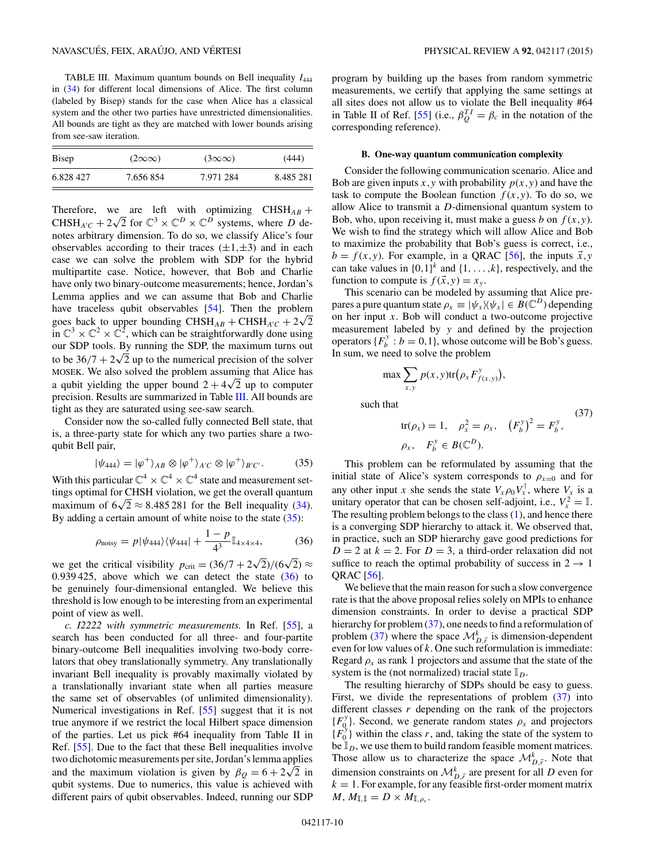<span id="page-9-0"></span>TABLE III. Maximum quantum bounds on Bell inequality *I*<sup>444</sup> in [\(34\)](#page-8-0) for different local dimensions of Alice. The first column (labeled by Bisep) stands for the case when Alice has a classical system and the other two parties have unrestricted dimensionalities. All bounds are tight as they are matched with lower bounds arising from see-saw iteration.

| <b>Bisep</b> | $(2\infty\infty)$ | $(3\infty\infty)$ | (444)     |
|--------------|-------------------|-------------------|-----------|
| 6.828 427    | 7.656 854         | 7.971 284         | 8.485 281 |

Therefore, we are left with optimizing  $CHSH_{AB}$  + CHSH<sub>A'C</sub> + 2 $\sqrt{2}$  for  $\mathbb{C}^3 \times \mathbb{C}^D \times \mathbb{C}^D$  systems, where *D* denotes arbitrary dimension. To do so, we classify Alice's four observables according to their traces  $(\pm 1, \pm 3)$  and in each case we can solve the problem with SDP for the hybrid multipartite case. Notice, however, that Bob and Charlie have only two binary-outcome measurements; hence, Jordan's Lemma applies and we can assume that Bob and Charlie have traceless qubit observables [\[54\]](#page-14-0). Then the problem have traceless qubit observables  $[34]$ . Then the problem<br>goes back to upper bounding  $CHSH_{AB} + CHSH_{A'C} + 2\sqrt{2}$ in  $\mathbb{C}^3 \times \mathbb{C}^2 \times \mathbb{C}^2$ , which can be straightforwardly done using our SDP tools. By running the SDP, the maximum turns out our SDP tools. By running the SDP, the maximum turns out<br>to be  $36/7 + 2\sqrt{2}$  up to the numerical precision of the solver MOSEK. We also solved the problem assuming that Alice has MOSEK. We also solved the problem assuming that Alice has<br>a qubit yielding the upper bound  $2 + 4\sqrt{2}$  up to computer precision. Results are summarized in Table III. All bounds are tight as they are saturated using see-saw search.

Consider now the so-called fully connected Bell state, that is, a three-party state for which any two parties share a twoqubit Bell pair,

$$
|\psi_{444}\rangle = |\varphi^{+}\rangle_{AB} \otimes |\varphi^{+}\rangle_{A'C} \otimes |\varphi^{+}\rangle_{B'C'}.
$$
 (35)

With this particular  $\mathbb{C}^4 \times \mathbb{C}^4 \times \mathbb{C}^4$  state and measurement settings optimal for CHSH violation, we get the overall quantum maximum of  $6\sqrt{2} \approx 8.485281$  for the Bell inequality [\(34\)](#page-8-0). By adding a certain amount of white noise to the state (35):

$$
\rho_{\text{noisy}} = p |\psi_{444}\rangle \langle \psi_{444}| + \frac{1 - p}{4^3} \mathbb{I}_{4 \times 4 \times 4},\tag{36}
$$

we get the critical visibility  $p_{\text{crit}} = (36/7 + 2\sqrt{2})/(6\sqrt{2}) \approx$ 0*.*939 425, above which we can detect the state (36) to be genuinely four-dimensional entangled. We believe this threshold is low enough to be interesting from an experimental point of view as well.

*c. I2222 with symmetric measurements.* In Ref. [\[55\]](#page-14-0), a search has been conducted for all three- and four-partite binary-outcome Bell inequalities involving two-body correlators that obey translationally symmetry. Any translationally invariant Bell inequality is provably maximally violated by a translationally invariant state when all parties measure the same set of observables (of unlimited dimensionality). Numerical investigations in Ref. [\[55\]](#page-14-0) suggest that it is not true anymore if we restrict the local Hilbert space dimension of the parties. Let us pick #64 inequality from Table II in Ref. [\[55\]](#page-14-0). Due to the fact that these Bell inequalities involve two dichotomic measurements per site, Jordan's lemma applies two atchesive measurements per site, jordan s temma applies<br>and the maximum violation is given by  $\beta_Q = 6 + 2\sqrt{2}$  in qubit systems. Due to numerics, this value is achieved with different pairs of qubit observables. Indeed, running our SDP program by building up the bases from random symmetric measurements, we certify that applying the same settings at all sites does not allow us to violate the Bell inequality #64 in Table II of Ref. [\[55\]](#page-14-0) (i.e.,  $\beta_Q^{TI} = \beta_c$  in the notation of the corresponding reference).

#### **B. One-way quantum communication complexity**

Consider the following communication scenario. Alice and Bob are given inputs *x*, *y* with probability  $p(x, y)$  and have the task to compute the Boolean function  $f(x, y)$ . To do so, we allow Alice to transmit a *D*-dimensional quantum system to Bob, who, upon receiving it, must make a guess *b* on  $f(x, y)$ . We wish to find the strategy which will allow Alice and Bob to maximize the probability that Bob's guess is correct, i.e.,  $b = f(x, y)$ . For example, in a QRAC [\[56\]](#page-14-0), the inputs  $\vec{x}, y$ can take values in  $\{0,1\}^k$  and  $\{1, \ldots, k\}$ , respectively, and the function to compute is  $f(\vec{x}, y) = x_y$ .

This scenario can be modeled by assuming that Alice prepares a pure quantum state  $\rho_x \equiv |\psi_x\rangle \langle \psi_x| \in B(\mathbb{C}^D)$  depending on her input *x*. Bob will conduct a two-outcome projective measurement labeled by *y* and defined by the projection operators  $\{F_b^y : b = 0, 1\}$ , whose outcome will be Bob's guess. In sum, we need to solve the problem

$$
\max \sum_{x,y} p(x,y) \text{tr} \big( \rho_x F_{f(x,y)}^y \big),
$$

such that

tr(
$$
\rho_x
$$
) = 1,  $\rho_x^2 = \rho_x$ ,  $(F_b^y)^2 = F_b^y$ ,  
\n $\rho_x$ ,  $F_b^y \in B(\mathbb{C}^D)$ . (37)

This problem can be reformulated by assuming that the initial state of Alice's system corresponds to  $\rho_{x=0}$  and for any other input *x* she sends the state  $V_x \rho_0 V_x^{\dagger}$ , where  $V_x$  is a unitary operator that can be chosen self-adjoint, i.e.,  $V_x^2 = \mathbb{I}$ . The resulting problem belongs to the class  $(1)$ , and hence there is a converging SDP hierarchy to attack it. We observed that, in practice, such an SDP hierarchy gave good predictions for  $D = 2$  at  $k = 2$ . For  $D = 3$ , a third-order relaxation did not suffice to reach the optimal probability of success in  $2 \rightarrow 1$ QRAC [\[56\]](#page-14-0).

We believe that the main reason for such a slow convergence rate is that the above proposal relies solely on MPIs to enhance dimension constraints. In order to devise a practical SDP hierarchy for problem (37), one needs to find a reformulation of problem (37) where the space  $\mathcal{M}_{D,\vec{r}}^k$  is dimension-dependent even for low values of *k*. One such reformulation is immediate: Regard  $\rho_x$  as rank 1 projectors and assume that the state of the system is the (not normalized) tracial state  $\mathbb{I}_D$ .

The resulting hierarchy of SDPs should be easy to guess. First, we divide the representations of problem (37) into different classes *r* depending on the rank of the projectors  ${F_q^y}$ . Second, we generate random states  $\rho_x$  and projectors  ${F_0^y}$  within the class *r*, and, taking the state of the system to be  $\mathbb{I}_D$ , we use them to build random feasible moment matrices. Those allow us to characterize the space  $\mathcal{M}_{D,\vec{r}}^k$ . Note that dimension constraints on  $\mathcal{M}_{D,\vec{r}}^k$  are present for all *D* even for  $k = 1$ . For example, for any feasible first-order moment matrix  $M, M_{\mathbb{I},\mathbb{I}} = D \times M_{\mathbb{I},\rho_{\mathcal{X}}}$ .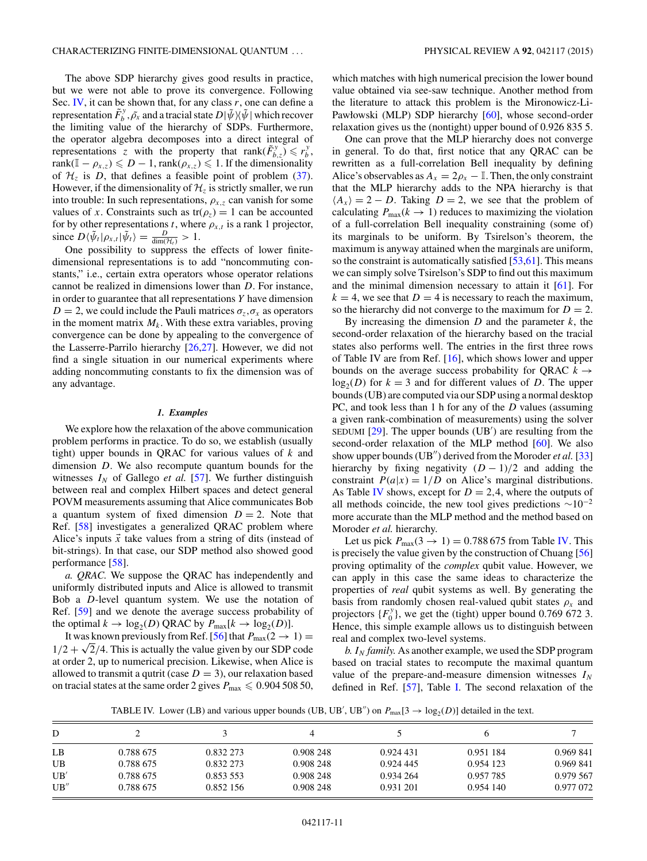The above SDP hierarchy gives good results in practice, but we were not able to prove its convergence. Following Sec. [IV,](#page-2-0) it can be shown that, for any class *r*, one can define a representation  $\tilde{F}^y_b$ ,  $\tilde{\rho}_x$  and a tracial state  $D|\tilde{\psi}\rangle\!\langle\tilde{\psi}|$  which recover the limiting value of the hierarchy of SDPs. Furthermore, the operator algebra decomposes into a direct integral of representations *z* with the property that rank $(\tilde{F}_{b,z}^y) \le r_b^y$ , rank( $\mathbb{I} - \rho_{x,z}$ )  $\leqslant D - 1$ , rank( $\rho_{x,z}$ )  $\leqslant 1$ . If the dimensionality of  $H<sub>z</sub>$  is *D*, that defines a feasible point of problem [\(37\)](#page-9-0). However, if the dimensionality of  $\mathcal{H}_z$  is strictly smaller, we run into trouble: In such representations,  $\rho_{x,z}$  can vanish for some values of *x*. Constraints such as  $tr(\rho_z) = 1$  can be accounted for by other representations  $t$ , where  $\rho_{x,t}$  is a rank 1 projector,  $\text{since } D\langle \tilde{\psi}_t | \rho_{x,t} | \tilde{\psi}_t \rangle = \frac{D}{\dim(\mathcal{H}_t)} > 1.$ 

One possibility to suppress the effects of lower finitedimensional representations is to add "noncommuting constants," i.e., certain extra operators whose operator relations cannot be realized in dimensions lower than *D*. For instance, in order to guarantee that all representations *Y* have dimension *D* = 2, we could include the Pauli matrices  $\sigma_z$ ,  $\sigma_x$  as operators in the moment matrix  $M_k$ . With these extra variables, proving convergence can be done by appealing to the convergence of the Lasserre-Parrilo hierarchy [\[26,27\]](#page-13-0). However, we did not find a single situation in our numerical experiments where adding noncommuting constants to fix the dimension was of any advantage.

## *1. Examples*

We explore how the relaxation of the above communication problem performs in practice. To do so, we establish (usually tight) upper bounds in QRAC for various values of *k* and dimension *D*. We also recompute quantum bounds for the witnesses  $I_N$  of Gallego *et al.* [\[57\]](#page-14-0). We further distinguish between real and complex Hilbert spaces and detect general POVM measurements assuming that Alice communicates Bob a quantum system of fixed dimension  $D = 2$ . Note that Ref. [\[58\]](#page-14-0) investigates a generalized QRAC problem where Alice's inputs  $\vec{x}$  take values from a string of dits (instead of bit-strings). In that case, our SDP method also showed good performance [\[58\]](#page-14-0).

*a. QRAC.* We suppose the QRAC has independently and uniformly distributed inputs and Alice is allowed to transmit Bob a *D*-level quantum system. We use the notation of Ref. [\[59\]](#page-14-0) and we denote the average success probability of the optimal  $k \to \log_2(D)$  QRAC by  $P_{\text{max}}[k \to \log_2(D)]$ .

It was known previously from Ref. [\[56\]](#page-14-0) that  $P_{\text{max}}(2 \rightarrow 1)$  =  $1/2 + \sqrt{2}/4$ . This is actually the value given by our SDP code at order 2, up to numerical precision. Likewise, when Alice is allowed to transmit a qutrit (case  $D = 3$ ), our relaxation based on tracial states at the same order 2 gives  $P_{\text{max}} \leq 0.90450850$ ,

which matches with high numerical precision the lower bound value obtained via see-saw technique. Another method from the literature to attack this problem is the Mironowicz-Li-Pawłowski (MLP) SDP hierarchy [\[60\]](#page-14-0), whose second-order relaxation gives us the (nontight) upper bound of 0.926 835 5.

One can prove that the MLP hierarchy does not converge in general. To do that, first notice that any QRAC can be rewritten as a full-correlation Bell inequality by defining Alice's observables as  $A_x = 2\rho_x - \mathbb{I}$ . Then, the only constraint that the MLP hierarchy adds to the NPA hierarchy is that  $\langle A_x \rangle = 2 - D$ . Taking  $D = 2$ , we see that the problem of calculating  $P_{\text{max}}(k \to 1)$  reduces to maximizing the violation of a full-correlation Bell inequality constraining (some of) its marginals to be uniform. By Tsirelson's theorem, the maximum is anyway attained when the marginals are uniform, so the constraint is automatically satisfied [\[53,61\]](#page-14-0). This means we can simply solve Tsirelson's SDP to find out this maximum and the minimal dimension necessary to attain it [\[61\]](#page-14-0). For  $k = 4$ , we see that  $D = 4$  is necessary to reach the maximum, so the hierarchy did not converge to the maximum for  $D = 2$ .

By increasing the dimension *D* and the parameter *k*, the second-order relaxation of the hierarchy based on the tracial states also performs well. The entries in the first three rows of Table IV are from Ref. [\[16\]](#page-13-0), which shows lower and upper bounds on the average success probability for QRAC  $k \rightarrow$  $log_2(D)$  for  $k = 3$  and for different values of *D*. The upper bounds (UB) are computed via our SDP using a normal desktop PC, and took less than 1 h for any of the *D* values (assuming a given rank-combination of measurements) using the solver SEDUMI [\[29\]](#page-13-0). The upper bounds (UB') are resulting from the second-order relaxation of the MLP method [\[60\]](#page-14-0). We also show upper bounds (UB<sup>"</sup>) derived from the Moroder *et al.* [\[33\]](#page-13-0) hierarchy by fixing negativity  $(D - 1)/2$  and adding the constraint  $P(a|x) = 1/D$  on Alice's marginal distributions. As Table IV shows, except for  $D = 2, 4$ , where the outputs of all methods coincide, the new tool gives predictions  $\sim 10^{-2}$ more accurate than the MLP method and the method based on Moroder *et al.* hierarchy.

Let us pick  $P_{\text{max}}(3 \rightarrow 1) = 0.788675$  from Table IV. This is precisely the value given by the construction of Chuang [\[56\]](#page-14-0) proving optimality of the *complex* qubit value. However, we can apply in this case the same ideas to characterize the properties of *real* qubit systems as well. By generating the basis from randomly chosen real-valued qubit states  $\rho_x$  and projectors  $\{F_0^y\}$ , we get the (tight) upper bound 0.769 672 3. Hence, this simple example allows us to distinguish between real and complex two-level systems.

*b.*  $I_N$  *family.* As another example, we used the SDP program based on tracial states to recompute the maximal quantum value of the prepare-and-measure dimension witnesses  $I_N$ defined in Ref. [\[57\]](#page-14-0), Table [I.](#page-6-0) The second relaxation of the

TABLE IV. Lower (LB) and various upper bounds (UB, UB', UB'') on  $P_{\text{max}}[3 \to \log_2(D)]$  detailed in the text.

| D    |           |           |           |           |           |           |
|------|-----------|-----------|-----------|-----------|-----------|-----------|
| LB   | 0.788 675 | 0.832 273 | 0.908 248 | 0.924 431 | 0.951 184 | 0.969 841 |
| UB   | 0.788 675 | 0.832 273 | 0.908 248 | 0.924 445 | 0.954 123 | 0.969 841 |
| UB'  | 0.788 675 | 0.853 553 | 0.908 248 | 0.934 264 | 0.957 785 | 0.979 567 |
| UB'' | 0.788 675 | 0.852 156 | 0.908 248 | 0.931 201 | 0.954 140 | 0.977 072 |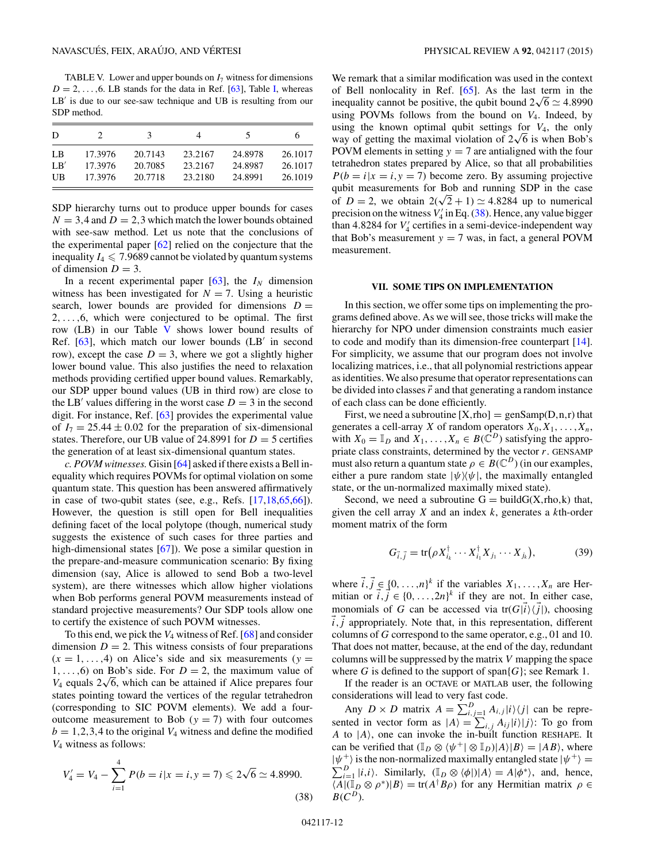<span id="page-11-0"></span>TABLE V. Lower and upper bounds on  $I_7$  witness for dimensions  $D = 2, \ldots, 6$ . LB stands for the data in Ref. [\[63\]](#page-14-0), Table [I,](#page-6-0) whereas  $LB'$  is due to our see-saw technique and UB is resulting from our SDP method.

| D                     | 2       | 3       | 4       | $\mathcal{L}$ | <sub>6</sub> |
|-----------------------|---------|---------|---------|---------------|--------------|
| LB                    | 17.3976 | 20.7143 | 23.2167 | 24.8978       | 26.1017      |
| LB'                   | 17.3976 | 20.7085 | 23.2167 | 24.8987       | 26.1017      |
| <b>I</b> <sub>B</sub> | 17.3976 | 20.7718 | 23.2180 | 24.8991       | 26.1019      |

SDP hierarchy turns out to produce upper bounds for cases  $N = 3,4$  and  $D = 2,3$  which match the lower bounds obtained with see-saw method. Let us note that the conclusions of the experimental paper [\[62\]](#page-14-0) relied on the conjecture that the inequality  $I_4 \leq 7.9689$  cannot be violated by quantum systems of dimension  $D = 3$ .

In a recent experimental paper  $[63]$ , the  $I<sub>N</sub>$  dimension witness has been investigated for  $N = 7$ . Using a heuristic search, lower bounds are provided for dimensions  $D =$ 2*,...,*6, which were conjectured to be optimal. The first row (LB) in our Table V shows lower bound results of Ref.  $[63]$ , which match our lower bounds  $(LB'$  in second row), except the case  $D = 3$ , where we got a slightly higher lower bound value. This also justifies the need to relaxation methods providing certified upper bound values. Remarkably, our SDP upper bound values (UB in third row) are close to the LB' values differing in the worst case  $D = 3$  in the second digit. For instance, Ref. [\[63\]](#page-14-0) provides the experimental value of  $I_7 = 25.44 \pm 0.02$  for the preparation of six-dimensional states. Therefore, our UB value of 24.8991 for  $D = 5$  certifies the generation of at least six-dimensional quantum states.

*c. POVM witnesses.* Gisin [\[64\]](#page-14-0) asked if there exists a Bell inequality which requires POVMs for optimal violation on some quantum state. This question has been answered affirmatively in case of two-qubit states (see, e.g., Refs. [\[17,18](#page-13-0)[,65,66\]](#page-14-0)). However, the question is still open for Bell inequalities defining facet of the local polytope (though, numerical study suggests the existence of such cases for three parties and high-dimensional states [\[67\]](#page-14-0)). We pose a similar question in the prepare-and-measure communication scenario: By fixing dimension (say, Alice is allowed to send Bob a two-level system), are there witnesses which allow higher violations when Bob performs general POVM measurements instead of standard projective measurements? Our SDP tools allow one to certify the existence of such POVM witnesses.

To this end, we pick the *V*<sup>4</sup> witness of Ref. [\[68\]](#page-14-0) and consider dimension  $D = 2$ . This witness consists of four preparations  $(x = 1, \ldots, 4)$  on Alice's side and six measurements ( $y =$ 1,..., $6$  on Bob's side. For  $D = 2$ , the maximum value of *<sup>V</sup>*<sup>4</sup> equals 2√6, which can be attained if Alice prepares four states pointing toward the vertices of the regular tetrahedron (corresponding to SIC POVM elements). We add a fouroutcome measurement to Bob  $(y = 7)$  with four outcomes  $b = 1, 2, 3, 4$  to the original  $V_4$  witness and define the modified *V*<sup>4</sup> witness as follows:

$$
V_4' = V_4 - \sum_{i=1}^4 P(b = i | x = i, y = 7) \le 2\sqrt{6} \simeq 4.8990.
$$
\n(38)

We remark that a similar modification was used in the context of Bell nonlocality in Ref. [\[65\]](#page-14-0). As the last term in the inequality cannot be positive, the qubit bound  $2\sqrt{6} \approx 4.8990$ using POVMs follows from the bound on *V*4. Indeed, by using the known optimal qubit settings for *V*4, the only way of getting the maximal violation of  $2\sqrt{6}$  is when Bob's POVM elements in setting  $y = 7$  are antialigned with the four tetrahedron states prepared by Alice, so that all probabilities  $P(b = i | x = i, y = 7)$  become zero. By assuming projective qubit measurements for Bob and running SDP in the case of *D* = 2, we obtain  $2(\sqrt{2} + 1) \approx 4.8284$  up to numerical precision on the witness  $V_4$  in Eq. (38). Hence, any value bigger than  $4.8284$  for  $V_4$  certifies in a semi-device-independent way that Bob's measurement  $y = 7$  was, in fact, a general POVM measurement.

## **VII. SOME TIPS ON IMPLEMENTATION**

In this section, we offer some tips on implementing the programs defined above. As we will see, those tricks will make the hierarchy for NPO under dimension constraints much easier to code and modify than its dimension-free counterpart [\[14\]](#page-13-0). For simplicity, we assume that our program does not involve localizing matrices, i.e., that all polynomial restrictions appear as identities. We also presume that operator representations can be divided into classes  $\vec{r}$  and that generating a random instance of each class can be done efficiently.

First, we need a subroutine  $[X,rho] = \text{genSamp}(D,n,r)$  that generates a cell-array *X* of random operators  $X_0, X_1, \ldots, X_n$ , with  $X_0 = \mathbb{I}_D$  and  $X_1, \ldots, X_n \in B(\hat{\mathbb{C}}^D)$  satisfying the appropriate class constraints, determined by the vector *r*. GENSAMP must also return a quantum state  $\rho \in B(\mathbb{C}^D)$  (in our examples, either a pure random state  $|\psi\rangle\langle\psi|$ , the maximally entangled state, or the un-normalized maximally mixed state).

Second, we need a subroutine  $G = \text{build}G(X, \text{rho}, k)$  that, given the cell array *X* and an index *k*, generates a *k*th-order moment matrix of the form

$$
G_{\vec{i},\vec{j}} = \text{tr}(\rho X_{i_k}^\dagger \cdots X_{i_1}^\dagger X_{j_1} \cdots X_{j_k}),\tag{39}
$$

where  $\vec{i}, \vec{j} \in \{0, \ldots, n\}^k$  if the variables  $X_1, \ldots, X_n$  are Hermitian or  $\vec{i}, \vec{j} \in \{0, \ldots, 2n\}^k$  if they are not. In either case, monomials of *G* can be accessed via  $tr(G|\vec{i}\rangle\langle\vec{j}|)$ , choosing  $\vec{i}$ ,  $\vec{j}$  appropriately. Note that, in this representation, different columns of *G* correspond to the same operator, e.g., 01 and 10. That does not matter, because, at the end of the day, redundant columns will be suppressed by the matrix *V* mapping the space where *G* is defined to the support of span ${G}$ ; see Remark 1.

If the reader is an OCTAVE or MATLAB user, the following considerations will lead to very fast code.

Any  $D \times D$  matrix  $A = \sum_{i,j=1}^{D} A_{i,j} |i\rangle\langle j|$  can be represented in vector form as  $|A\rangle = \sum_{i,j} A_{ij} |i\rangle |j\rangle$ : To go from *A* to  $|A\rangle$ , one can invoke the in-built function RESHAPE. It can be verified that  $(\mathbb{I}_D \otimes \langle \psi^+ | \otimes \mathbb{I}_D) | A \rangle | B \rangle = |AB \rangle$ , where  $|\psi^{+}\rangle$  is the non-normalized maximally entangled state  $|\psi^{+}\rangle$  =  $\sum_{i=1}^{D} |i,i\rangle$ . Similarly,  $(\mathbb{I}_D \otimes \langle \phi |)|A\rangle = A|\phi^*\rangle$ , and, hence,  $\langle A | (\mathbb{I}_D \otimes \rho^*) | B \rangle = \text{tr}(A^{\dagger} B \rho)$  for any Hermitian matrix  $\rho \in$  $B(C^D)$ .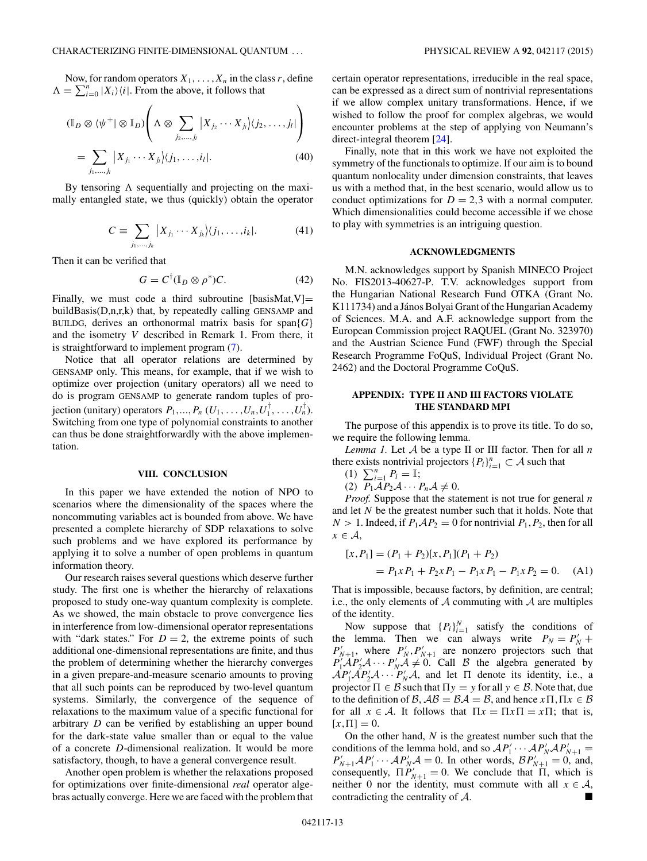Now, for random operators  $X_1, \ldots, X_n$  in the class r, define  $\Lambda = \sum_{i=0}^{n} |X_i\rangle\langle i|$ . From the above, it follows that

$$
(\mathbb{I}_D \otimes \langle \psi^+ | \otimes \mathbb{I}_D) \left( \Lambda \otimes \sum_{j_2, \dots, j_l} |X_{j_2} \cdots X_{j_l} \rangle \langle j_2, \dots, j_l | \right)
$$
  
= 
$$
\sum_{j_1, \dots, j_l} |X_{j_1} \cdots X_{j_l} \rangle \langle j_1, \dots, j_l |.
$$
 (40)

By tensoring  $\Lambda$  sequentially and projecting on the maximally entangled state, we thus (quickly) obtain the operator

$$
C \equiv \sum_{j_1,\dots,j_k} \left| X_{j_1} \cdots X_{j_k} \right\rangle \langle j_1,\dots,j_k|. \tag{41}
$$

Then it can be verified that

$$
G = C^{\dagger}(\mathbb{I}_D \otimes \rho^*)C. \tag{42}
$$

Finally, we must code a third subroutine [basisMat, V]= buildBasis(D,n,r,k) that, by repeatedly calling GENSAMP and BUILDG, derives an orthonormal matrix basis for span ${G}$ and the isometry *V* described in Remark 1. From there, it is straightforward to implement program [\(7\)](#page-2-0).

Notice that all operator relations are determined by GENSAMP only. This means, for example, that if we wish to optimize over projection (unitary operators) all we need to do is program GENSAMP to generate random tuples of projection (unitary) operators  $P_1, ..., P_n$  ( $U_1, ..., U_n, U_1^{\dagger}, ..., U_n^{\dagger}$ ). Switching from one type of polynomial constraints to another can thus be done straightforwardly with the above implementation.

### **VIII. CONCLUSION**

In this paper we have extended the notion of NPO to scenarios where the dimensionality of the spaces where the noncommuting variables act is bounded from above. We have presented a complete hierarchy of SDP relaxations to solve such problems and we have explored its performance by applying it to solve a number of open problems in quantum information theory.

Our research raises several questions which deserve further study. The first one is whether the hierarchy of relaxations proposed to study one-way quantum complexity is complete. As we showed, the main obstacle to prove convergence lies in interference from low-dimensional operator representations with "dark states." For  $D = 2$ , the extreme points of such additional one-dimensional representations are finite, and thus the problem of determining whether the hierarchy converges in a given prepare-and-measure scenario amounts to proving that all such points can be reproduced by two-level quantum systems. Similarly, the convergence of the sequence of relaxations to the maximum value of a specific functional for arbitrary *D* can be verified by establishing an upper bound for the dark-state value smaller than or equal to the value of a concrete *D*-dimensional realization. It would be more satisfactory, though, to have a general convergence result.

Another open problem is whether the relaxations proposed for optimizations over finite-dimensional *real* operator algebras actually converge. Here we are faced with the problem that certain operator representations, irreducible in the real space, can be expressed as a direct sum of nontrivial representations if we allow complex unitary transformations. Hence, if we wished to follow the proof for complex algebras, we would encounter problems at the step of applying von Neumann's direct-integral theorem [\[24\]](#page-13-0).

Finally, note that in this work we have not exploited the symmetry of the functionals to optimize. If our aim is to bound quantum nonlocality under dimension constraints, that leaves us with a method that, in the best scenario, would allow us to conduct optimizations for  $D = 2,3$  with a normal computer. Which dimensionalities could become accessible if we chose to play with symmetries is an intriguing question.

#### **ACKNOWLEDGMENTS**

M.N. acknowledges support by Spanish MINECO Project No. FIS2013-40627-P. T.V. acknowledges support from the Hungarian National Research Fund OTKA (Grant No. K111734) and a János Bolyai Grant of the Hungarian Academy of Sciences. M.A. and A.F. acknowledge support from the European Commission project RAQUEL (Grant No. 323970) and the Austrian Science Fund (FWF) through the Special Research Programme FoQuS, Individual Project (Grant No. 2462) and the Doctoral Programme CoQuS.

# **APPENDIX: TYPE II AND III FACTORS VIOLATE THE STANDARD MPI**

The purpose of this appendix is to prove its title. To do so, we require the following lemma.

*Lemma 1.* Let A be a type II or III factor. Then for all *n* there exists nontrivial projectors  $\{P_i\}_{i=1}^n \subset \mathcal{A}$  such that

- (1)  $\sum_{i=1}^{n} P_i = \mathbb{I};$
- (2)  $P_1 \mathcal{A} P_2 \mathcal{A} \cdots P_n \mathcal{A} \neq 0.$

*Proof.* Suppose that the statement is not true for general *n* and let *N* be the greatest number such that it holds. Note that  $N > 1$ . Indeed, if  $P_1AP_2 = 0$  for nontrivial  $P_1, P_2$ , then for all  $x \in \mathcal{A}$ ,

$$
[x, P_1] = (P_1 + P_2)[x, P_1](P_1 + P_2)
$$
  
=  $P_1 x P_1 + P_2 x P_1 - P_1 x P_1 - P_1 x P_2 = 0.$  (A1)

That is impossible, because factors, by definition, are central; i.e., the only elements of  $A$  commuting with  $A$  are multiples of the identity.

Now suppose that  $\{P_i\}_{i=1}^N$  satisfy the conditions of the lemma. Then we can always write  $P_N = P'_N +$  $P'_{N+1}$ , where  $P'_{N}, P'_{N+1}$  are nonzero projectors such that  $P_1^{\prime}AP_2^{\prime}A \cdots P_N^{\prime}A \neq 0$ . Call B the algebra generated by  $AP'_1\overline{AP'_2A} \cdots P'_N\overline{A}$ , and let  $\Pi$  denote its identity, i.e., a projector  $\Pi \in \mathcal{B}$  such that  $\Pi y = y$  for all  $y \in \mathcal{B}$ . Note that, due to the definition of  $\mathcal{B}, \mathcal{AB} = \mathcal{BA} = \mathcal{B}$ , and hence  $x \Pi, \Pi x \in \mathcal{B}$ for all  $x \in A$ . It follows that  $\Pi x = \Pi x \Pi = x \Pi$ ; that is,  $[x,\Pi]=0.$ 

On the other hand, *N* is the greatest number such that the conditions of the lemma hold, and so  $AP'_1 \cdots AP'_N AP'_{N+1} =$  $P'_{N+1}$   $\mathcal{A}P'_{1} \cdots \mathcal{A}P'_{N}$   $\mathcal{A} = 0$ . In other words,  $\mathcal{B}P'_{N+1} = 0$ , and, consequently,  $\Pi P'_{N+1} = 0$ . We conclude that  $\Pi$ , which is neither 0 nor the identity, must commute with all  $x \in A$ , contradicting the centrality of A.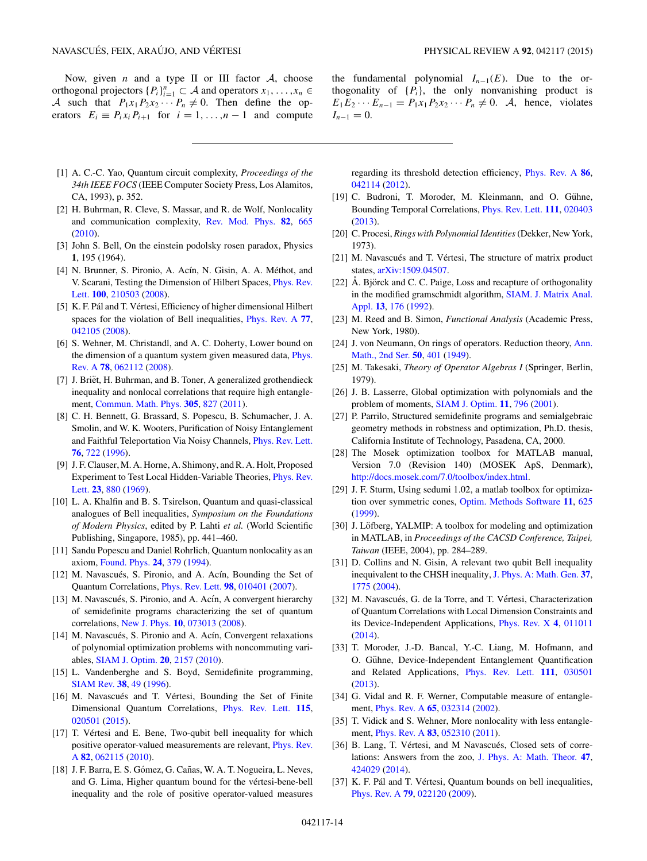<span id="page-13-0"></span>Now, given *n* and a type II or III factor A, choose orthogonal projectors  $\{P_i\}_{i=1}^n \subset \mathcal{A}$  and operators  $x_1, \ldots, x_n \in$ A such that  $P_1x_1P_2x_2\cdots P_n \neq 0$ . Then define the operators  $E_i = P_i x_i P_{i+1}$  for  $i = 1, ..., n-1$  and compute the fundamental polynomial  $I_{n-1}(E)$ . Due to the orthogonality of  $\{P_i\}$ , the only nonvanishing product is  $E_1 E_2 \cdots E_{n-1} = P_1 x_1 P_2 x_2 \cdots P_n \neq 0$ . *A*, hence, violates  $I_{n-1} = 0$ .

- [1] A. C.-C. Yao, Quantum circuit complexity, *Proceedings of the 34th IEEE FOCS* (IEEE Computer Society Press, Los Alamitos, CA, 1993), p. 352.
- [2] H. Buhrman, R. Cleve, S. Massar, and R. de Wolf, Nonlocality and communication complexity, [Rev. Mod. Phys.](http://dx.doi.org/10.1103/RevModPhys.82.665) **[82](http://dx.doi.org/10.1103/RevModPhys.82.665)**, [665](http://dx.doi.org/10.1103/RevModPhys.82.665) [\(2010\)](http://dx.doi.org/10.1103/RevModPhys.82.665).
- [3] John S. Bell, On the einstein podolsky rosen paradox, Physics **1**, 195 (1964).
- [4] N. Brunner, S. Pironio, A. Acín, N. Gisin, A. A. Méthot, and [V. Scarani, Testing the Dimension of Hilbert Spaces,](http://dx.doi.org/10.1103/PhysRevLett.100.210503) Phys. Rev. Lett. **[100](http://dx.doi.org/10.1103/PhysRevLett.100.210503)**, [210503](http://dx.doi.org/10.1103/PhysRevLett.100.210503) [\(2008\)](http://dx.doi.org/10.1103/PhysRevLett.100.210503).
- [5] K. F. Pál and T. Vértesi, Efficiency of higher dimensional Hilbert spaces for the violation of Bell inequalities, [Phys. Rev. A](http://dx.doi.org/10.1103/PhysRevA.77.042105) **[77](http://dx.doi.org/10.1103/PhysRevA.77.042105)**, [042105](http://dx.doi.org/10.1103/PhysRevA.77.042105) [\(2008\)](http://dx.doi.org/10.1103/PhysRevA.77.042105).
- [6] S. Wehner, M. Christandl, and A. C. Doherty, Lower bound on [the dimension of a quantum system given measured data,](http://dx.doi.org/10.1103/PhysRevA.78.062112) Phys. Rev. A **[78](http://dx.doi.org/10.1103/PhysRevA.78.062112)**, [062112](http://dx.doi.org/10.1103/PhysRevA.78.062112) [\(2008\)](http://dx.doi.org/10.1103/PhysRevA.78.062112).
- [7] J. Briët, H. Buhrman, and B. Toner, A generalized grothendieck inequality and nonlocal correlations that require high entanglement, [Commun. Math. Phys.](http://dx.doi.org/10.1007/s00220-011-1280-3) **[305](http://dx.doi.org/10.1007/s00220-011-1280-3)**, [827](http://dx.doi.org/10.1007/s00220-011-1280-3) [\(2011\)](http://dx.doi.org/10.1007/s00220-011-1280-3).
- [8] C. H. Bennett, G. Brassard, S. Popescu, B. Schumacher, J. A. Smolin, and W. K. Wooters, Purification of Noisy Entanglement and Faithful Teleportation Via Noisy Channels, [Phys. Rev. Lett.](http://dx.doi.org/10.1103/PhysRevLett.76.722) **[76](http://dx.doi.org/10.1103/PhysRevLett.76.722)**, [722](http://dx.doi.org/10.1103/PhysRevLett.76.722) [\(1996\)](http://dx.doi.org/10.1103/PhysRevLett.76.722).
- [9] J. F. Clauser, M. A. Horne, A. Shimony, and R. A. Holt, Proposed [Experiment to Test Local Hidden-Variable Theories,](http://dx.doi.org/10.1103/PhysRevLett.23.880) Phys. Rev. Lett. **[23](http://dx.doi.org/10.1103/PhysRevLett.23.880)**, [880](http://dx.doi.org/10.1103/PhysRevLett.23.880) [\(1969\)](http://dx.doi.org/10.1103/PhysRevLett.23.880).
- [10] L. A. Khalfin and B. S. Tsirelson, Quantum and quasi-classical analogues of Bell inequalities, *Symposium on the Foundations of Modern Physics*, edited by P. Lahti *et al.* (World Scientific Publishing, Singapore, 1985), pp. 441–460.
- [11] Sandu Popescu and Daniel Rohrlich, Quantum nonlocality as an axiom, [Found. Phys.](http://dx.doi.org/10.1007/BF02058098) **[24](http://dx.doi.org/10.1007/BF02058098)**, [379](http://dx.doi.org/10.1007/BF02058098) [\(1994\)](http://dx.doi.org/10.1007/BF02058098).
- [12] M. Navascués, S. Pironio, and A. Acín, Bounding the Set of Quantum Correlations, [Phys. Rev. Lett.](http://dx.doi.org/10.1103/PhysRevLett.98.010401) **[98](http://dx.doi.org/10.1103/PhysRevLett.98.010401)**, [010401](http://dx.doi.org/10.1103/PhysRevLett.98.010401) [\(2007\)](http://dx.doi.org/10.1103/PhysRevLett.98.010401).
- [13] M. Navascués, S. Pironio, and A. Acín, A convergent hierarchy of semidefinite programs characterizing the set of quantum correlations, [New J. Phys.](http://dx.doi.org/10.1088/1367-2630/10/7/073013) **[10](http://dx.doi.org/10.1088/1367-2630/10/7/073013)**, [073013](http://dx.doi.org/10.1088/1367-2630/10/7/073013) [\(2008\)](http://dx.doi.org/10.1088/1367-2630/10/7/073013).
- [14] M. Navascués, S. Pironio and A. Acín, Convergent relaxations of polynomial optimization problems with noncommuting variables, [SIAM J. Optim.](http://dx.doi.org/10.1137/090760155) **[20](http://dx.doi.org/10.1137/090760155)**, [2157](http://dx.doi.org/10.1137/090760155) [\(2010\)](http://dx.doi.org/10.1137/090760155).
- [15] L. Vandenberghe and S. Boyd, Semidefinite programming, [SIAM Rev.](http://dx.doi.org/10.1137/1038003) **[38](http://dx.doi.org/10.1137/1038003)**, [49](http://dx.doi.org/10.1137/1038003) [\(1996\)](http://dx.doi.org/10.1137/1038003).
- [16] M. Navascués and T. Vértesi, Bounding the Set of Finite Dimensional Quantum Correlations, [Phys. Rev. Lett.](http://dx.doi.org/10.1103/PhysRevLett.115.020501) **[115](http://dx.doi.org/10.1103/PhysRevLett.115.020501)**, [020501](http://dx.doi.org/10.1103/PhysRevLett.115.020501) [\(2015\)](http://dx.doi.org/10.1103/PhysRevLett.115.020501).
- [17] T. Vértesi and E. Bene, Two-qubit bell inequality for which [positive operator-valued measurements are relevant,](http://dx.doi.org/10.1103/PhysRevA.82.062115) Phys. Rev. A **[82](http://dx.doi.org/10.1103/PhysRevA.82.062115)**, [062115](http://dx.doi.org/10.1103/PhysRevA.82.062115) [\(2010\)](http://dx.doi.org/10.1103/PhysRevA.82.062115).
- [18] J. F. Barra, E. S. Gómez, G. Cañas, W. A. T. Nogueira, L. Neves, and G. Lima, Higher quantum bound for the vértesi-bene-bell inequality and the role of positive operator-valued measures

regarding its threshold detection efficiency, [Phys. Rev. A](http://dx.doi.org/10.1103/PhysRevA.86.042114) **[86](http://dx.doi.org/10.1103/PhysRevA.86.042114)**, [042114](http://dx.doi.org/10.1103/PhysRevA.86.042114) [\(2012\)](http://dx.doi.org/10.1103/PhysRevA.86.042114).

- [19] C. Budroni, T. Moroder, M. Kleinmann, and O. Gühne, Bounding Temporal Correlations, [Phys. Rev. Lett.](http://dx.doi.org/10.1103/PhysRevLett.111.020403) **[111](http://dx.doi.org/10.1103/PhysRevLett.111.020403)**, [020403](http://dx.doi.org/10.1103/PhysRevLett.111.020403) [\(2013\)](http://dx.doi.org/10.1103/PhysRevLett.111.020403).
- [20] C. Procesi, *Rings with Polynomial Identities*(Dekker, New York, 1973).
- [21] M. Navascués and T. Vértesi, The structure of matrix product states, [arXiv:1509.04507.](http://arxiv.org/abs/arXiv:1509.04507)
- [22] A. Björck and C. C. Paige, Loss and recapture of orthogonality [in the modified gramschmidt algorithm,](http://dx.doi.org/10.1137/0613015) SIAM. J. Matrix Anal. Appl. **[13](http://dx.doi.org/10.1137/0613015)**, [176](http://dx.doi.org/10.1137/0613015) [\(1992\)](http://dx.doi.org/10.1137/0613015).
- [23] M. Reed and B. Simon, *Functional Analysis* (Academic Press, New York, 1980).
- [24] [J. von Neumann, On rings of operators. Reduction theory,](http://dx.doi.org/10.2307/1969463) Ann. Math., 2nd Ser. **[50](http://dx.doi.org/10.2307/1969463)**, [401](http://dx.doi.org/10.2307/1969463) [\(1949\)](http://dx.doi.org/10.2307/1969463).
- [25] M. Takesaki, *Theory of Operator Algebras I* (Springer, Berlin, 1979).
- [26] J. B. Lasserre, Global optimization with polynomials and the problem of moments, [SIAM J. Optim.](http://dx.doi.org/10.1137/S1052623400366802) **[11](http://dx.doi.org/10.1137/S1052623400366802)**, [796](http://dx.doi.org/10.1137/S1052623400366802) [\(2001\)](http://dx.doi.org/10.1137/S1052623400366802).
- [27] P. Parrilo, Structured semidefinite programs and semialgebraic geometry methods in robstness and optimization, Ph.D. thesis, California Institute of Technology, Pasadena, CA, 2000.
- [28] The Mosek optimization toolbox for MATLAB manual, Version 7.0 (Revision 140) (MOSEK ApS, Denmark), [http://docs.mosek.com/7.0/toolbox/index.html.](http://docs.mosek.com/7.0/toolbox/index.html)
- [29] J. F. Sturm, Using sedumi 1.02, a matlab toolbox for optimization over symmetric cones, [Optim. Methods Software](http://dx.doi.org/10.1080/10556789908805766) **[11](http://dx.doi.org/10.1080/10556789908805766)**, [625](http://dx.doi.org/10.1080/10556789908805766) [\(1999\)](http://dx.doi.org/10.1080/10556789908805766).
- [30] J. Löfberg, YALMIP: A toolbox for modeling and optimization in MATLAB, in *Proceedings of the CACSD Conference, Taipei, Taiwan* (IEEE, 2004), pp. 284–289.
- [31] D. Collins and N. Gisin, A relevant two qubit Bell inequality inequivalent to the CHSH inequality, [J. Phys. A: Math. Gen.](http://dx.doi.org/10.1088/0305-4470/37/5/021) **[37](http://dx.doi.org/10.1088/0305-4470/37/5/021)**, [1775](http://dx.doi.org/10.1088/0305-4470/37/5/021) [\(2004\)](http://dx.doi.org/10.1088/0305-4470/37/5/021).
- [32] M. Navascués, G. de la Torre, and T. Vértesi, Characterization of Quantum Correlations with Local Dimension Constraints and its Device-Independent Applications, [Phys. Rev. X](http://dx.doi.org/10.1103/PhysRevX.4.011011) **[4](http://dx.doi.org/10.1103/PhysRevX.4.011011)**, [011011](http://dx.doi.org/10.1103/PhysRevX.4.011011) [\(2014\)](http://dx.doi.org/10.1103/PhysRevX.4.011011).
- [33] T. Moroder, J.-D. Bancal, Y.-C. Liang, M. Hofmann, and O. Guhne, Device-Independent Entanglement Quantification ¨ and Related Applications, [Phys. Rev. Lett.](http://dx.doi.org/10.1103/PhysRevLett.111.030501) **[111](http://dx.doi.org/10.1103/PhysRevLett.111.030501)**, [030501](http://dx.doi.org/10.1103/PhysRevLett.111.030501) [\(2013\)](http://dx.doi.org/10.1103/PhysRevLett.111.030501).
- [34] G. Vidal and R. F. Werner, Computable measure of entanglement, [Phys. Rev. A](http://dx.doi.org/10.1103/PhysRevA.65.032314) **[65](http://dx.doi.org/10.1103/PhysRevA.65.032314)**, [032314](http://dx.doi.org/10.1103/PhysRevA.65.032314) [\(2002\)](http://dx.doi.org/10.1103/PhysRevA.65.032314).
- [35] T. Vidick and S. Wehner, More nonlocality with less entanglement, [Phys. Rev. A](http://dx.doi.org/10.1103/PhysRevA.83.052310) **[83](http://dx.doi.org/10.1103/PhysRevA.83.052310)**, [052310](http://dx.doi.org/10.1103/PhysRevA.83.052310) [\(2011\)](http://dx.doi.org/10.1103/PhysRevA.83.052310).
- [36] B. Lang, T. Vértesi, and M Navascués, Closed sets of correlations: Answers from the zoo, [J. Phys. A: Math. Theor.](http://dx.doi.org/10.1088/1751-8113/47/42/424029) **[47](http://dx.doi.org/10.1088/1751-8113/47/42/424029)**, [424029](http://dx.doi.org/10.1088/1751-8113/47/42/424029) [\(2014\)](http://dx.doi.org/10.1088/1751-8113/47/42/424029).
- [37] K. F. Pál and T. Vértesi, Quantum bounds on bell inequalities, [Phys. Rev. A](http://dx.doi.org/10.1103/PhysRevA.79.022120) **[79](http://dx.doi.org/10.1103/PhysRevA.79.022120)**, [022120](http://dx.doi.org/10.1103/PhysRevA.79.022120) [\(2009\)](http://dx.doi.org/10.1103/PhysRevA.79.022120).